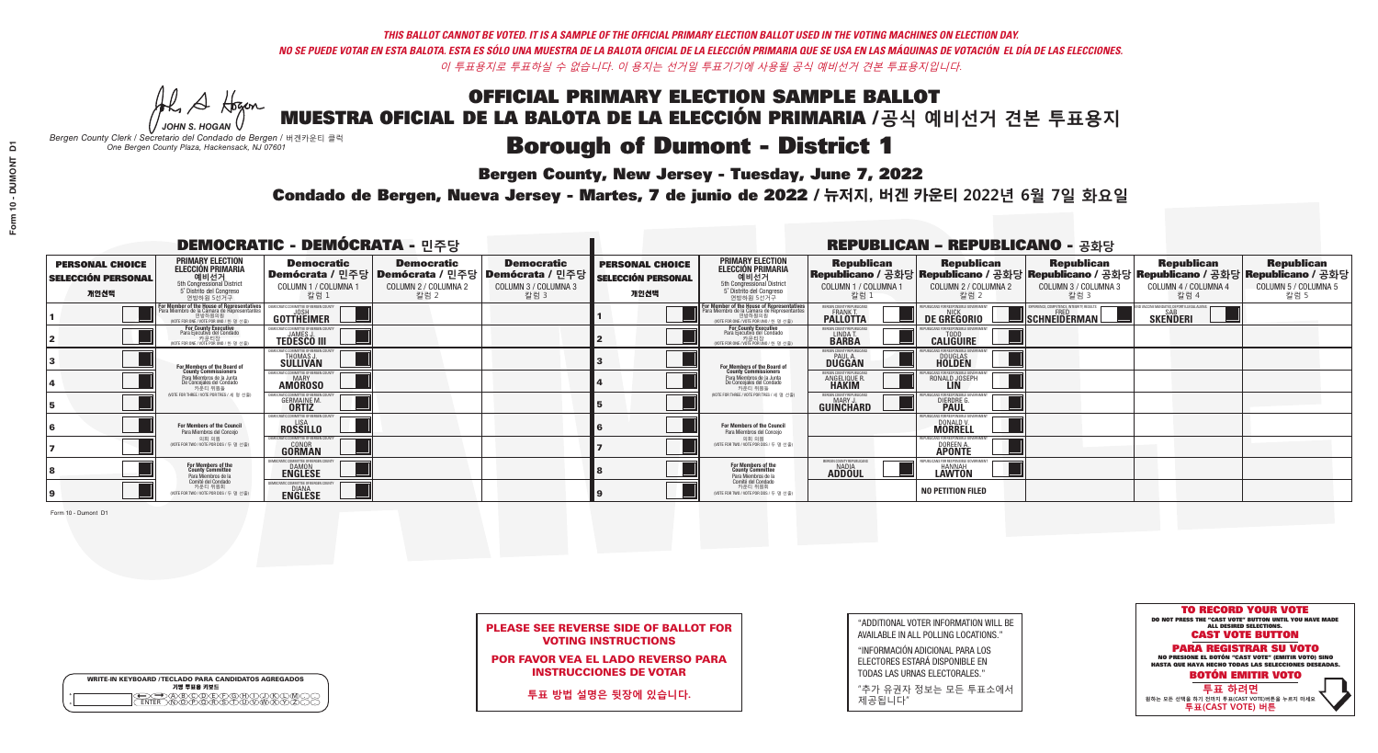**Bergen County, New Jersey - Tuesday, June 7, 2022** 

A Hogan *JOHN S. HOGAN*

|         | <b>WRITE-IN KEYBOARD /TECLADO PARA CANDIDATOS AGREGADOS</b><br>기명 투표용 키보드 |
|---------|---------------------------------------------------------------------------|
| ٥       | .)(B)C)(D)(E)(F)(G)(H)(                                                   |
| $\circ$ | <u>፝ዀፙቑ፝፠ዾ</u>                                                            |

*Bergen County Clerk / Secretario del Condado de Bergen /* 버겐카운티 클럭 *One Bergen County Plaza, Hackensack, NJ 07601*

Condado de Bergen, Nueva Jersey - Martes, 7 de junio de 2022 / 뉴저지, 버겐 카운티 2022년 6월 7일 화요일 *One Bergen County Plaza, Hackensack, NJ 07601*



PLEASE SEE REVERSE SIDE OF BALLOT FOR VOTING INSTRUCTIONS

POR FAVOR VEA EL LADO REVERSO PARA INSTRUCCIONES DE VOTAR

**투표 방법 설명은 뒷장에 있습니다.**

| "ADDITIONAL VOTER INFORMATION WILL BE |
|---------------------------------------|
| AVAILABLE IN ALL POLLING LOCATIONS."  |

"INFORMACIÓN ADICIONAL PARA LOS ELECTORES ESTARÁ DISPONIBLE EN TODAS LAS URNAS ELECTORALES."

"추가 유권자 정보는 모든 투표소에서 제공됩니다"

|                                                             |                                                                                                                                                      | <b>DEMOCRATIC - DEMÓCRATA - 민주당</b>                                       |                                                   |                                                                                                              |                                                             |                                                                                                                                   |                                                                | <b>REPUBLICAN - REPUBLICANO - 공화당</b>                                                                                                          |                                                   |                                                           |                                                   |
|-------------------------------------------------------------|------------------------------------------------------------------------------------------------------------------------------------------------------|---------------------------------------------------------------------------|---------------------------------------------------|--------------------------------------------------------------------------------------------------------------|-------------------------------------------------------------|-----------------------------------------------------------------------------------------------------------------------------------|----------------------------------------------------------------|------------------------------------------------------------------------------------------------------------------------------------------------|---------------------------------------------------|-----------------------------------------------------------|---------------------------------------------------|
| <b>PERSONAL CHOICE</b><br><b>SELECCIÓN PERSONAL</b><br>개인선택 | <b>PRIMARY ELECTION</b><br><b>ELECCIÓN PRIMARIA</b><br>예비선거<br>5th Congressional District<br>5° Distrito del Congreso<br>연방하원 5선거구                   | <b>Democratic</b><br>COLUMN 1 / COLUMNA 1<br>칼럼 :                         | <b>Democratic</b><br>COLUMN 2 / COLUMNA 2<br>칼럼 2 | <b>Democratic</b><br>  Demócrata / 민주당   Demócrata / 민주당   Demócrata / 민주당  <br>COLUMN 3 / COLUMNA 3<br>칼럼 3 | <b>PERSONAL CHOICE</b><br><b>SELECCIÓN PERSONAL</b><br>개인선택 | <b>PRIMARY ELECTION</b><br>ELECCIÓN PRIMARIA<br>5th Congressional District<br>5° Distrito del Congreso<br>연방하원 5선거구               | <b>Republican</b><br>COLUMN 1 / COLUMNA 1<br>칼럼                | <b>Republican</b><br>Republicano / 공화당 Republicano / 공화당 Republicano / 공화당 Republicano / 공화당 Republicano / 공화당<br>COLUMN 2 / COLUMNA 2<br>칼럼 2 | <b>Republican</b><br>COLUMN 3 / COLUMNA 3<br>칼럼 3 | <b>Republican</b><br>COLUMN 4 / COLUMNA 4<br>칼럼 4         | <b>Republican</b><br>COLUMN 5 / COLUMNA 5<br>칼럼 5 |
|                                                             | <b>For Member of the House of Representatives</b><br>Para Miembro de la Cámara de Representantes<br>연방하원의원<br>(VOTE FOR ONE / VOTE POR UNO / 한 명 선출) | GOTTHEIMER                                                                |                                                   |                                                                                                              |                                                             | For Member of the House of Representatives<br>Para Miembro de la Cámara de Representantes<br>WOTE FOR ONE / VOTE POR UNO / 한 명 선출 | ERGEN COUNTY REPUBLICAN<br><b>PALLOTTA</b>                     | DE GREGORIO                                                                                                                                    | <b>SCHNEIDERMAN</b>                               | VACCINE MANDATES, DEPORT ILLEGAL ALIEN<br><b>SKENDERI</b> |                                                   |
|                                                             | For County Executive<br>Para Ejecutivo del Condado<br>가운티장<br>(VOTE FOR ONE / VOTE POR UNO / 한 명 선출)                                                 | EMOCRATIC COMMITTEE OF BERGEN COUNTY<br><b>TEDESCO III</b>                |                                                   |                                                                                                              |                                                             | For County Executive<br>Para Ejecutivo del Condado<br>카운티장<br>(VOTE FOR ONE / VOTE POR UNO / 한 명 선출                               | BERGEN COUNTY REPUBLICAN<br>LINDA T.                           | <b>CALIGUIRE</b>                                                                                                                               |                                                   |                                                           |                                                   |
|                                                             | <b>For Members of the Board of<br/>County Commissioners</b>                                                                                          | MOCRATIC COMMITTEE OF BERGEN COUNT<br><b>THOMAS J.</b><br><b>SULLIVAN</b> |                                                   |                                                                                                              |                                                             | For Members of the Board of<br>County Commissioners                                                                               | ERGEN COUNTY REPUBLICAN<br><b>DUGGAN</b>                       | <b>DOUGLAS</b><br><b>HOLDEN</b>                                                                                                                |                                                   |                                                           |                                                   |
|                                                             | Para Miembros de la Junta<br>De Concejales del Condado<br>카운티 위원들                                                                                    | MOCRATIC COMMITTEE OF BERGEN COUNTY<br><b>MARY</b><br><b>AMOROSO</b>      |                                                   |                                                                                                              |                                                             | Para Miembros de la Junta<br>De Concejales del Condado<br>카운티 위원들                                                                 | <b>FRGEN COUNTY REPUBLICAN</b><br><b>ANGELIQUE R<br/>HAKIM</b> | RONALD JOSEPH<br><b>LIN</b>                                                                                                                    |                                                   |                                                           |                                                   |
|                                                             | NOTE FOR THREE / VOTE POR TRES / 세 명 선출)                                                                                                             | ATIC COMMITTEE OF BERGEN COUNT<br><b>GERMAINE M.</b>                      |                                                   |                                                                                                              |                                                             | (VOTE FOR THREE / VOTE POR TRES / 세 명 선출)                                                                                         | ERGEN COUNTY REPUBLICANS<br>MARY.<br>GUINCHARD                 | <b>DIERDRE</b>                                                                                                                                 |                                                   |                                                           |                                                   |
|                                                             | For Members of the Council<br>Para Miembros del Conceio                                                                                              | EMOCRATIC COMMITTEE OF BERGEN COUNTY<br><b>ROSSILLO</b>                   |                                                   |                                                                                                              |                                                             | <b>For Members of the Council</b><br>Para Miembros del Conceio                                                                    |                                                                | 'UBI ICANS FOR RESPONSIBI E GOV<br>DONALD V.                                                                                                   |                                                   |                                                           |                                                   |
|                                                             | 의회 의원<br>(VOTE FOR TWO / VOTE POR DOS / 두 명 선출)                                                                                                      | MOCRATIC COMMITTEE OF BERGEN COUNTY<br><b>GONOR</b><br>GORMAN             |                                                   |                                                                                                              |                                                             | 의회 의원<br>WOTE FOR TWO / VOTE POR DOS / 두 명 선출)                                                                                    |                                                                | PUBLICANS FOR RESPONSIBLE GOVERNMENT<br>DOREEN A                                                                                               |                                                   |                                                           |                                                   |
|                                                             | For Members of the<br>County Committee<br>Para Miembros de la<br>Comité del Condado                                                                  | IOCRATIC COMMITTEE OF BERGEN COUNT<br><b>ENGLESE</b>                      |                                                   |                                                                                                              |                                                             | For Members of the<br>County Committee<br>Para Miembros de la<br>Comité del Condado                                               | BERGEN COUNTY REPUBLICAN<br><b>NADIA</b><br><b>ADDOUL</b>      | <b>LAWTON</b>                                                                                                                                  |                                                   |                                                           |                                                   |
|                                                             | 카운티 위원회<br>(VOTE FOR TWO / VOTE POR DOS / 두 명 선출)                                                                                                    | OCRATIC COMMITTEE OF BERGEN COL<br><b>ENGLESE</b>                         |                                                   |                                                                                                              |                                                             | 카운티 위원회<br>(VOTE FOR TWO / VOTE POR DOS / 두 명 선출)                                                                                 |                                                                | <b>NO PETITION FILED</b>                                                                                                                       |                                                   |                                                           |                                                   |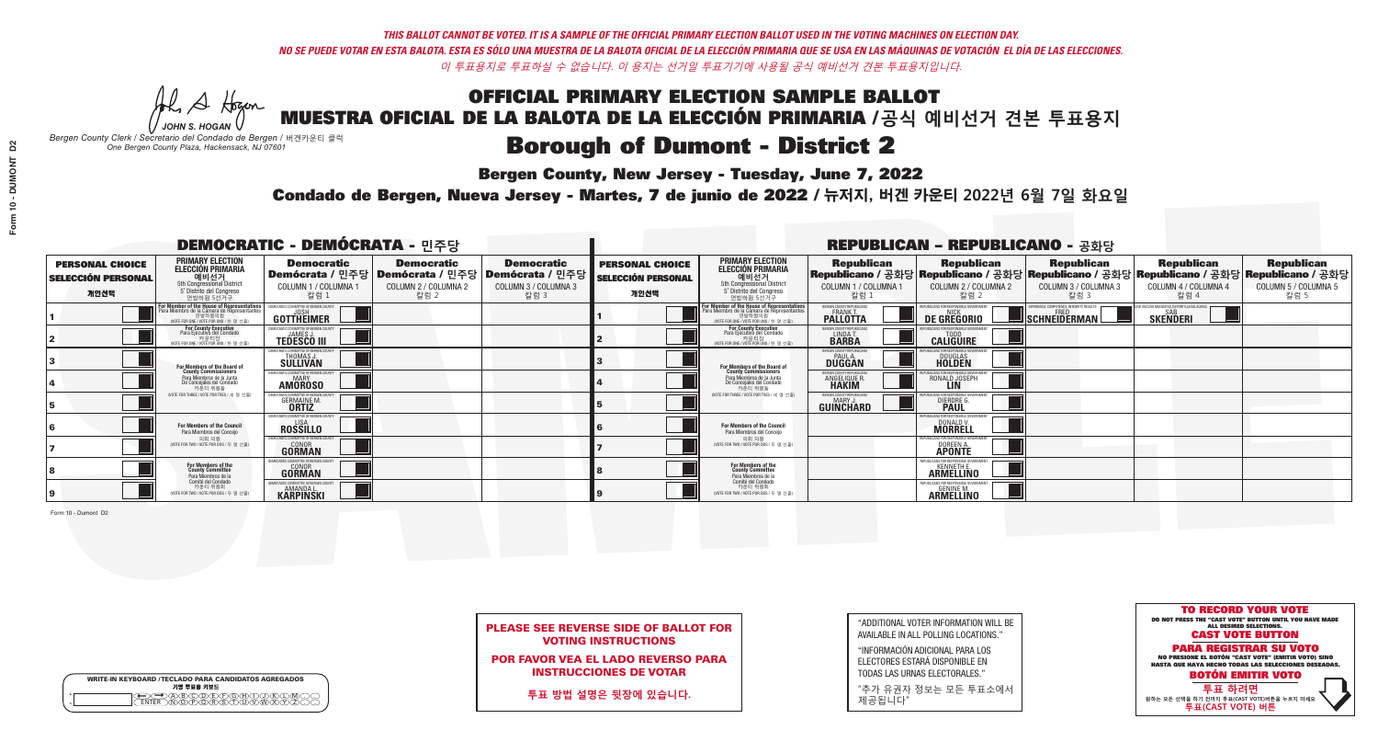**Bergen County, New Jersey - Tuesday, June 7, 2022** 

A Hogan *JOHN S. HOGAN*

|         | <b>WRITE-IN KEYBOARD /TECLADO PARA CANDIDATOS AGREGADOS</b><br>기명 투표용 키보드 |
|---------|---------------------------------------------------------------------------|
| 0       | ABODEADEAN                                                                |
| $\circ$ | <b>ඁ</b> ᠗ᢆ᠗ᢆ᠗ᢆᢆᠷ᠗                                                        |

*Bergen County Clerk / Secretario del Condado de Bergen /* 버겐카운티 클럭 *One Bergen County Plaza, Hackensack, NJ 07601*



PLEASE SEE REVERSE SIDE OF BALLOT FOR VOTING INSTRUCTIONS

POR FAVOR VEA EL LADO REVERSO PARA INSTRUCCIONES DE VOTAR

**투표 방법 설명은 뒷장에 있습니다.**

"ADDITIONAL VOTER INFORMATION WILL BE AVAILABLE IN ALL POLLING LOCATIONS."

"INFORMACIÓN ADICIONAL PARA LOS ELECTORES ESTARÁ DISPONIBLE EN TODAS LAS URNAS ELECTORALES."

"추가 유권자 정보는 모든 투표소에서 제공됩니다"

Condado de Bergen, Nueva Jersey - Martes, 7 de junio de 2022 / 뉴저지, 버겐 카운티 2022년 6월 7일 화요일 *One Bergen County Plaza, Hackensack, NJ 07601*

|                                                             |                                                                                                                                             | <b>DEMOCRATIC - DEMÓCRATA - 민주당</b>                            |                                                   |                                                                                                        |                                                             |                                                                                                                                               |                                                            | <b>REPUBLICAN - REPUBLICANO - 공화당</b>                                                                                                          |                                                   |                                                               |                                                   |
|-------------------------------------------------------------|---------------------------------------------------------------------------------------------------------------------------------------------|----------------------------------------------------------------|---------------------------------------------------|--------------------------------------------------------------------------------------------------------|-------------------------------------------------------------|-----------------------------------------------------------------------------------------------------------------------------------------------|------------------------------------------------------------|------------------------------------------------------------------------------------------------------------------------------------------------|---------------------------------------------------|---------------------------------------------------------------|---------------------------------------------------|
| <b>PERSONAL CHOICE</b><br><b>SELECCIÓN PERSONAL</b><br>개인선택 | <b>PRIMARY ELECTION</b><br><b>ELECCIÓN PRIMARIA</b><br>예비선거<br>5th Congressional District<br>5° Distrito del Congreso<br>연방하원 5선거구          | <b>Democratic</b><br>COLUMN 1 / COLUMNA 1<br>칼럼 :              | <b>Democratic</b><br>COLUMN 2 / COLUMNA 2<br>칼럼 2 | <b>Democratic</b><br>│Demócrata / 민주당│Demócrata / 민주당│Demócrata / 민주당│<br>COLUMN 3 / COLUMNA 3<br>칼럼 3 | <b>PERSONAL CHOICE</b><br><b>SELECCIÓN PERSONAL</b><br>개인선택 | <b>PRIMARY ELECTION</b><br><b>ELECCIÓN PRIMARIA</b><br><u>. 예비선거</u><br>5th Congressional District<br>5° Distrito del Congreso<br>연방하원 5선거구   | <b>Republican</b><br>COLUMN 1 / COLUMNA 1<br>칼럼            | <b>Republican</b><br>Republicano / 공화당 Republicano / 공화당 Republicano / 공화당 Republicano / 공화당 Republicano / 공화당<br>COLUMN 2 / COLUMNA 2<br>칼럼 2 | <b>Republican</b><br>COLUMN 3 / COLUMNA 3<br>칼럼 3 | <b>Republican</b><br>COLUMN 4 / COLUMNA 4<br>칼럼 4             | <b>Republican</b><br>COLUMN 5 / COLUMNA 5<br>칼럼 5 |
|                                                             | or Member of the House of Representatives<br>ara Miembro de la Cámara de Representantes<br>연방하원의원<br>(VOTE FOR ONE / VOTE POR UNO / 한 명 선출) | GOTTHEIMER                                                     |                                                   |                                                                                                        |                                                             | For Member of the House of Representatives<br>Para Miembro de la Cámara de Representantes<br>연방하원의원<br>(VOTE FOR ONE / VOTE POR UNO / 한 명 선출) | BERGEN COUNTY REPUBLICANS<br>FRANK T.<br><b>PALLOTTA</b>   | DE GREGORIO                                                                                                                                    | SCHNEIDERMAN                                      | D VACCINE MANDATES, DEPORT ILLEGAL ALIENS.<br><b>SKENDERI</b> |                                                   |
|                                                             | For County Executive<br>Para Ejecutivo del Condado<br>. 카운티장<br>(VOTE FOR ONE / VOTE POR UNO / 한 명 선출)                                      | )EMOCRATIC COMMITTEE OF BERGEN COUNTY<br><b>TEDESCO III</b>    |                                                   |                                                                                                        |                                                             | <b>For County Executive</b><br>Para Ejecutivo del Condado<br>7) 카운티장<br>(VOTE FOR ONE / VOTE POR UNO / 한 명 선출)                                | BERGEN COUNTY REPUBLICAN<br>LINDA T.                       | <b>CALIGUIRE</b>                                                                                                                               |                                                   |                                                               |                                                   |
|                                                             | <b>For Members of the Board of<br/>County Commissioners</b>                                                                                 | MOCRATIC COMMITTEE OF BERGEN COUNTY<br>THOMAS J.               |                                                   |                                                                                                        |                                                             | For Members of the Board of<br>County Commissioners                                                                                           | ERGEN COUNTY REPUBLICAN<br><b>PAUL A.</b><br><b>DUGGAN</b> | <b>DOUGLAS</b>                                                                                                                                 |                                                   |                                                               |                                                   |
|                                                             | Para Miembros de la Junta<br>De Concejales del Condado<br>카우티 위원들                                                                           | CRATIC COMMITTEE OF BERGEN COUNTY<br>MARY<br><b>AMÖROSO</b>    |                                                   |                                                                                                        |                                                             | Para Miembros de la Junta<br>De Concejales del Condado<br>카우티 위원들                                                                             | <b>FRGEN COUNTY REPUBLICAN</b><br>ANGELIQUE R              | RONALD JOSEPH                                                                                                                                  |                                                   |                                                               |                                                   |
|                                                             | NOTE FOR THREE / VOTE POR TRES / 세 명 선출)                                                                                                    | ATIC COMMITTEE OF BERGEN COUN<br><b>GERMAINE M.</b>            |                                                   |                                                                                                        |                                                             | (VOTE FOR THREE / VOTE POR TRES / 세 명 선출)                                                                                                     | ERGEN COUNTY REPUBLICANS<br>MARY J.<br>GUINCHARD           | DIERDRE G                                                                                                                                      |                                                   |                                                               |                                                   |
|                                                             | For Members of the Council<br>Para Miembros del Conceio                                                                                     | EMOCRATIC COMMITTEE OF BERGEN COUNT<br><b>ROSSILLO</b>         |                                                   |                                                                                                        |                                                             | <b>For Members of the Council</b><br>Para Miembros del Conceio                                                                                |                                                            | JBI ICANS FOR RESPONSIBI E GO<br>DONALD V.                                                                                                     |                                                   |                                                               |                                                   |
|                                                             | 의회 의원<br>(VOTE FOR TWO / VOTE POR DOS / 두 명 선출)                                                                                             | EMOCRATIC COMMITTEE OF BERGEN COUNTY<br><b>GONOR</b><br>GORMAN |                                                   |                                                                                                        |                                                             | 의회 의원<br>(VOTE FOR TWO / VOTE POR DOS / 두 명 선출)                                                                                               |                                                            | PUBLICANS FOR RESPONSIBLE GOVERNMEN<br>DOREEN A.                                                                                               |                                                   |                                                               |                                                   |
|                                                             | For Members of the<br>County Committee<br>Para Miembros de la                                                                               | <b>GONOR</b><br><b>GORMAN</b>                                  |                                                   |                                                                                                        |                                                             | For Members of the<br>County Committee<br>Para Miembros de la<br>Comité del Condado                                                           |                                                            | FPUBLICANS FOR RESPONSIBLE GO<br><b>ARMELLINO</b>                                                                                              |                                                   |                                                               |                                                   |
|                                                             | Comité del Condado<br>카운티 위원회<br>(VOTE FOR TWO / VOTE POR DOS / 두 명 선출)                                                                     | MOCRATIC COMMITTEE OF RERGEN COLIN<br><b>KARPINSKI</b>         |                                                   |                                                                                                        |                                                             | 카운티 위원회<br>NOTE FOR TWO / VOTE POR DOS / 두 명 선출)                                                                                              |                                                            | FPURLICANS FOR RESPONSIBLE GOVERNMENT<br><b>ARMELLINO</b>                                                                                      |                                                   |                                                               |                                                   |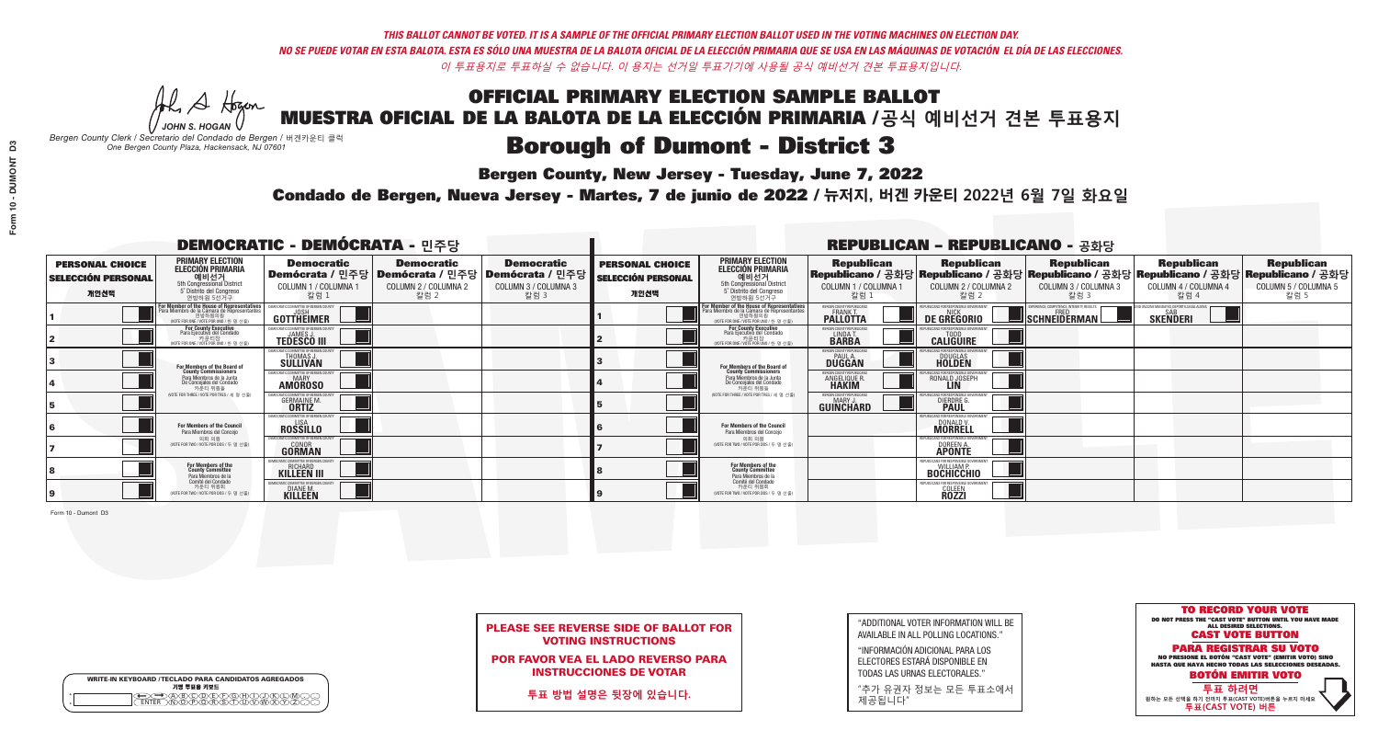**Bergen County, New Jersey - Tuesday, June 7, 2022** 

A Hogen *JOHN S. HOGAN*

|         | <b>WRITE-IN KEYBOARD /TECLADO PARA CANDIDATOS AGREGADOS</b><br>기명 투표용 키보드 |
|---------|---------------------------------------------------------------------------|
| 0       | ABODEADEAN                                                                |
| $\circ$ | <b>ඁ</b> ᠗ᢆ᠗ᢆ᠗ᢆᢆᠷ᠗                                                        |

*Bergen County Clerk / Secretario del Condado de Bergen /* 버겐카운티 클럭 *One Bergen County Plaza, Hackensack, NJ 07601*



PLEASE SEE REVERSE SIDE OF BALLOT FOR VOTING INSTRUCTIONS

POR FAVOR VEA EL LADO REVERSO PARA INSTRUCCIONES DE VOTAR

**투표 방법 설명은 뒷장에 있습니다.**

"ADDITIONAL VOTER INFORMATION WILL BE AVAILABLE IN ALL POLLING LOCATIONS."

"INFORMACIÓN ADICIONAL PARA LOS ELECTORES ESTARÁ DISPONIBLE EN TODAS LAS URNAS ELECTORALES."

"추가 유권자 정보는 모든 투표소에서 제공됩니다"

Condado de Bergen, Nueva Jersey - Martes, 7 de junio de 2022 / 뉴저지, 버겐 카운티 2022년 6월 7일 화요일 *One Bergen County Plaza, Hackensack, NJ 07601*

|                                                             |                                                                                                                                                  | <b>DEMOCRATIC - DEMÓCRATA - 민주당</b>                                         |                                                   |                                                                                                        |                                                             |                                                                                                                                                       |                                                               | <b>REPUBLICAN - REPUBLICANO - 공화당</b>                   |                                                                                                                                                |                                                            |                                                   |
|-------------------------------------------------------------|--------------------------------------------------------------------------------------------------------------------------------------------------|-----------------------------------------------------------------------------|---------------------------------------------------|--------------------------------------------------------------------------------------------------------|-------------------------------------------------------------|-------------------------------------------------------------------------------------------------------------------------------------------------------|---------------------------------------------------------------|---------------------------------------------------------|------------------------------------------------------------------------------------------------------------------------------------------------|------------------------------------------------------------|---------------------------------------------------|
| <b>PERSONAL CHOICE</b><br><b>SELECCIÓN PERSONAL</b><br>개인선택 | <b>PRIMARY ELECTION</b><br><b>ELECCIÓN PRIMARIA</b><br>예비선거<br><sup>6</sup> 예비선거<br>5° Distrito del Congreso<br>연방하원 5선거구                        | <b>Democratic</b><br>COLUMN 1 / COLUMNA<br>칼럼 :                             | <b>Democratic</b><br>COLUMN 2 / COLUMNA 2<br>칼럼 2 | <b>Democratic</b><br>│Demócrata / 민주당│Demócrata / 민주당│Demócrata / 민주당┃<br>COLUMN 3 / COLUMNA 3<br>칼럼 3 | <b>PERSONAL CHOICE</b><br><b>SELECCIÓN PERSONAL</b><br>개인선택 | <b>PRIMARY ELECTION</b><br>ELECCIÓN PRIMARIA<br>예비선거<br>5th Congressional District<br>5° Distrito del Congreso<br>연방하원 5선거구                           | <b>Republican</b><br>COLUMN 1 / COLUMNA 1<br>칼럼               | <b>Republican</b><br>COLUMN 2 / COLUMNA 2<br>칼럼 2       | <b>Republican</b><br>Republicano / 공화당 Republicano / 공화당 Republicano / 공화당 Republicano / 공화당 Republicano / 공화당<br>COLUMN 3 / COLUMNA 3<br>칼럼 3 | <b>Republican</b><br>COLUMN 4 / COLUMNA 4<br>칼럼 4          | <b>Republican</b><br>COLUMN 5 / COLUMNA 5<br>칼럼 5 |
|                                                             | <b>r Member of the House of Representatives</b><br>ra Miembro de la Cámara de Representantes<br>연방하원의원<br>(VOTE FOR ONE / VOTE POR UNO / 한 명 선출) | DEMOCRATIC COMMITTEE OF BERGEN CO<br>GOTTHEIMER                             |                                                   |                                                                                                        |                                                             | <b>For Member of the House of Representatives<br/>Para Miembro de la Cámara de Representantes</b><br>연방하원의원<br>(VOTE FOR ONE / VOTE POR UNO / 한 명 선출) | ERGEN COUNTY REPUBLICAN<br>FRANK T.<br><b>PALLOTTA</b>        | DE GREGORIO                                             | PERIENCE. COMPETENCE. INTEGRITY. RESULTS<br>$\blacksquare$ Schneiderman $\mathsf L$                                                            | VACCINE MANDATES, DEPORT ILLEGAL ALIENS<br><b>SKENDERI</b> |                                                   |
|                                                             | <b>For County Executive</b><br>Para Ejecutivo del Condado<br>. 카운티장<br>(VOTE FOR ONE / VOTE POR UNO / 한 명 선출)                                    | JEMOCRATIC COMMITTEE OF BERGEN COUNTY<br><b>TEDESCO III</b>                 |                                                   |                                                                                                        |                                                             | For County Executive<br>Para Ejecutivo del Condado<br>7 카운티장<br>(VOTE FOR ONE / VOTE POR UNO / 한 명 선출                                                 | BERGEN COUNTY REPUBLICAN<br>LINDA T.                          | <b>CALIGUIRE</b>                                        |                                                                                                                                                |                                                            |                                                   |
|                                                             | <b>For Members of the Board of<br/>County Commissioners</b>                                                                                      | MOCRATIC COMMITTEE OF BERGEN COUNTY<br>THOMAS J.                            |                                                   |                                                                                                        |                                                             | For Members of the Board of<br>County Commissioners                                                                                                   | ERGEN COUNTY REPUBLICAN<br><b>DUGGAN</b>                      | <b>DOUGLAS</b><br><b>HOLDEN</b>                         |                                                                                                                                                |                                                            |                                                   |
|                                                             | Para Miembros de la Junta<br>De Concejales del Condado<br>카우티 위원들                                                                                | )CRATIC COMMITTEE OF BERGEN COUNTY<br><b>MARY</b><br><b>AMOROSO</b>         |                                                   |                                                                                                        |                                                             | Para Miembros de la Junta<br>De Concejales del Condado<br>카우티 위원들                                                                                     | ERGEN COUNTY REPUBLICAN<br><b>ANGELIQUE F</b><br><b>HAKIM</b> | RONALD JOSEPH                                           |                                                                                                                                                |                                                            |                                                   |
|                                                             | NOTE FOR THREE / VOTE POR TRES / 세 명 선출)                                                                                                         | RATIC COMMITTEE OF BERGEN CO<br><b>GERMAINE M.</b>                          |                                                   |                                                                                                        |                                                             | (VOTE FOR THREE / VOTE POR TRES / 세 명 선출)                                                                                                             | ERGEN COUNTY REPUBLICANS<br>MARY J<br>GUINCHARD               | FOR RESPONSIBLE G<br><b>DIERDRE</b> O                   |                                                                                                                                                |                                                            |                                                   |
|                                                             | For Members of the Council<br>Para Miembros del Conceio                                                                                          | MOCRATIC COMMITTEE OF BERGEN CO<br><b>ROSSILLO</b>                          |                                                   |                                                                                                        |                                                             | For Members of the Council<br>Para Miembros del Conceio                                                                                               |                                                               | PUBLICANS FOR RESPONSIBLE G<br>DONALD V.                |                                                                                                                                                |                                                            |                                                   |
|                                                             | 의회 의원<br>NOTE FOR TWO / VOTE POR DOS / 두 명 선출)                                                                                                   | <b>EMOCRATIC COMMITTEE OF BERGEN COUNT</b><br><b>GONOR</b><br><b>GORMAN</b> |                                                   |                                                                                                        |                                                             | 의회 의원<br>NOTE FOR TWO / VOTE POR DOS / 두 명 선출)                                                                                                        |                                                               | PUBLICANS FOR RESPONSIBLE GO<br>DOREEN A.               |                                                                                                                                                |                                                            |                                                   |
|                                                             | For Members of the<br>County Committee<br>Para Miembros de la                                                                                    | <b>RICHARD</b><br><b>KILLEEN III</b>                                        |                                                   |                                                                                                        |                                                             | For Members of the<br>County Committee<br>Para Miembros de la<br>Comité del Condado                                                                   |                                                               | <b>BOCHICCHIO</b>                                       |                                                                                                                                                |                                                            |                                                   |
|                                                             | Comité del Condado<br>카운티 위원회<br>(VOTE FOR TWO / VOTE POR DOS / 두 명 선출)                                                                          | DIANE M.<br>KILLEEN                                                         |                                                   |                                                                                                        |                                                             | 카운티 위원회<br>NOTE FOR TWO / VOTE POR DOS / 두 명 선출)                                                                                                      |                                                               | FPUBLICANS FOR RESPONSIBLE GO<br>COLEEN<br><b>ROZZI</b> |                                                                                                                                                |                                                            |                                                   |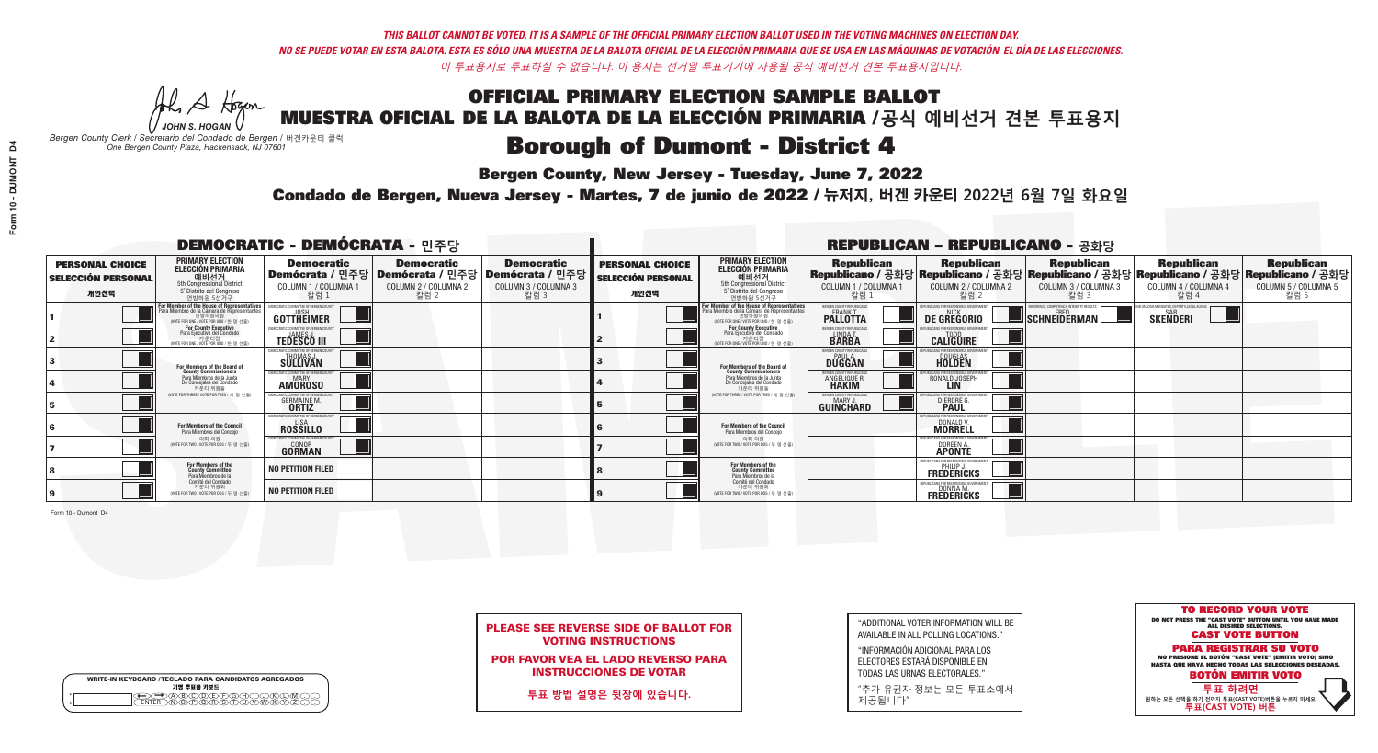**Bergen County, New Jersey - Tuesday, June 7, 2022** 

A Hogan *JOHN S. HOGAN*

|   | <b>WRITE-IN KEYBOARD /TECLADO PARA CANDIDATOS AGREGADOS</b><br>기명 투표용 키보드 |
|---|---------------------------------------------------------------------------|
| o | .)B)C)DE)F)G)H)                                                           |
| o | <u>እጅአል አል</u>                                                            |

*Bergen County Clerk / Secretario del Condado de Bergen /* 버겐카운티 클럭 *One Bergen County Plaza, Hackensack, NJ 07601*



PLEASE SEE REVERSE SIDE OF BALLOT FOR VOTING INSTRUCTIONS

POR FAVOR VEA EL LADO REVERSO PARA INSTRUCCIONES DE VOTAR

**투표 방법 설명은 뒷장에 있습니다.**

"ADDITIONAL VOTER INFORMATION WILL BE AVAILABLE IN ALL POLLING LOCATIONS."

"INFORMACIÓN ADICIONAL PARA LOS ELECTORES ESTARÁ DISPONIBLE EN TODAS LAS URNAS ELECTORALES."

"추가 유권자 정보는 모든 투표소에서 제공됩니다"

Condado de Bergen, Nueva Jersey - Martes, 7 de junio de 2022 / 뉴저지, 버겐 카운티 2022년 6월 7일 화요일 *One Bergen County Plaza, Hackensack, NJ 07601*

|                                                             |                                                                                                                                               | <b>DEMOCRATIC - DEMÓCRATA - 민주당</b>                                    |                                                                                       |                                                                      |                                                             |                                                                                                                                               |                                                            | <b>REPUBLICAN - REPUBLICANO - 공화당</b>                                                                                                          |                                                    |                                                    |                                                   |
|-------------------------------------------------------------|-----------------------------------------------------------------------------------------------------------------------------------------------|------------------------------------------------------------------------|---------------------------------------------------------------------------------------|----------------------------------------------------------------------|-------------------------------------------------------------|-----------------------------------------------------------------------------------------------------------------------------------------------|------------------------------------------------------------|------------------------------------------------------------------------------------------------------------------------------------------------|----------------------------------------------------|----------------------------------------------------|---------------------------------------------------|
| <b>PERSONAL CHOICE</b><br><b>SELECCIÓN PERSONAL</b><br>개인선택 | <b>PRIMARY ELECTION</b><br><b>ELECCIÓN PRIMARIA</b><br>예비선거<br>5th Congressional District<br>5° Distrito del Congreso<br>연방하원 5선거구            | <b>Democratic</b><br>COLUMN 1 / COLUMNA 1<br>칼럼 1                      | <b>Democratic</b><br>│Demócrata / 민주당│Demócrata / 민주당<br>COLUMN 2 / COLUMNA 2<br>칼럼 2 | <b>Democratic</b><br>Demócrata / 민주당<br>COLUMN 3 / COLUMNA 3<br>칼럼 3 | <b>PERSONAL CHOICE</b><br><b>SELECCIÓN PERSONAL</b><br>개인선택 | <b>PRIMARY ELECTION</b><br>ELECCIÓN PRIMARIA<br>5th Congressional District<br>5° Distrito del Congreso<br>연방하원 5선거구                           | <b>Republican</b><br>COLUMN 1 / COLUMNA 1<br>참럼.           | <b>Republican</b><br>Republicano / 공화당 Republicano / 공화당 Republicano / 공화당 Republicano / 공화당 Republicano / 공화당<br>COLUMN 2 / COLUMNA 2<br>칼럼 2 | <b>Republican</b><br>COLUMN 3 / COLUMNA 3<br>칼럼 3  | <b>Republican</b><br>COLUMN 4 / COLUMNA 4<br>칼럼 4  | <b>Republican</b><br>COLUMN 5 / COLUMNA 5<br>칼럼 5 |
|                                                             | For Member of the House of Representatives<br>Para Miembro de la Cámara de Representantes<br>연방하원의원<br>(VOTE FOR ONE / VOTE POR UNO / 한 명 선출) | DEMOCRATIC COMMITTEE OF BERGEN COUNT<br>GOTTHEIMER                     |                                                                                       |                                                                      |                                                             | For Member of the House of Representatives<br>Para Miembro de la Cámara de Representantes<br>연방하원의원<br>(VOTE FOR ONE / VOTE POR UNO / 한 명 선출) | BERGEN COUNTY REPUBLICANS<br>FRANK T.<br><b>PALLOTTA</b>   | DE GREGORIO                                                                                                                                    | $\blacksquare$  schneiderman $\mathbin{\llcorner}$ | VACCINE MANDATES, DEPORT ILLEGAL ALIEN<br>SKEÑDERI |                                                   |
|                                                             | For County Executive<br>Para Ejecutivo del Condado<br>. 카운티장<br>(VOTE FOR ONE / VOTE POR UNO / 한 명 선출)                                        | EMOCRATIC COMMITTEE OF BERGEN COUNTY<br><b>TEDESCO III</b>             |                                                                                       |                                                                      |                                                             | <b>For County Executive</b><br>Para Ejecutivo del Condado<br>기운티장<br>(VOTE FOR ONE / VOTE POR UNO / 한 명 선출)                                   | BERGEN COUNTY REPUBLICAN<br>LINDA T.                       | <b>CALIGUIRE</b>                                                                                                                               |                                                    |                                                    |                                                   |
|                                                             | For Members of the Board of<br>County Commissioners                                                                                           | <b>EMOCRATIC COMMITTEE OF BERGEN COUNTY</b><br>THOMAS J.               |                                                                                       |                                                                      |                                                             | For Members of the Board of<br>County Commissioners                                                                                           | ERGEN COUNTY REPUBLICAN<br><b>PAUL A.</b><br><b>DUGGAN</b> | <b>DOUGLAS</b>                                                                                                                                 |                                                    |                                                    |                                                   |
|                                                             | Para Miembros de la Junta<br>De Concejales del Condado<br>카우티 위원들                                                                             | IOCRATIC COMMITTEE OF BERGEN COUNTY<br><b>MARY</b><br><b>AMOROSO</b>   |                                                                                       |                                                                      |                                                             | Para Miembros de la Junta<br>De Concejales del Condado<br>카운티 위원들                                                                             | RGEN COUNTY REPUBLICAN<br><b>ANGELIQUE R<br/>HAKIM</b>     | RONALD JOSEPH                                                                                                                                  |                                                    |                                                    |                                                   |
|                                                             | (VOTE FOR THREE / VOTE POR TRES / 세 명 선출)                                                                                                     | )CRATIC COMMITTEE OF BERGEN COUN<br><b>GERMAINE M.</b><br><b>ORTIZ</b> |                                                                                       |                                                                      |                                                             | (VOTE FOR THREE / VOTE POR TRES / 세 명 선출)                                                                                                     | ERGEN COUNTY REPUBLICANS<br><b>MARY J</b><br>GUINCHARD     | DIERDRE G                                                                                                                                      |                                                    |                                                    |                                                   |
|                                                             | For Members of the Council<br>Para Miembros del Conceio                                                                                       | EMOCRATIC COMMITTEE OF BERGEN COUN<br><b>ROSSILLO</b>                  |                                                                                       |                                                                      |                                                             | For Members of the Council<br>Para Miembros del Conceio                                                                                       |                                                            | BLICANS FOR RESPONSIBLE GO<br>DONALD V                                                                                                         |                                                    |                                                    |                                                   |
|                                                             | 의회 의원<br>(VOTE FOR TWO / VOTE POR DOS / 두 명 선출)                                                                                               | EMOCRATIC COMMITTEE OF BERGEN COUNT<br><b>GONOR</b><br>GORMAN          |                                                                                       |                                                                      |                                                             | 의회 의원<br>(VOTE FOR TWO / VOTE POR DOS / 두 명 선출)                                                                                               |                                                            | PUBLICANS FOR RESPONSIBLE GOVE<br>DOREEN A.                                                                                                    |                                                    |                                                    |                                                   |
|                                                             | For Members of the<br>County Committee<br>Para Miembros de la<br>Comité del Condado                                                           | <b>NO PETITION FILED</b>                                               |                                                                                       |                                                                      |                                                             | For Members of the<br>County Committee<br>Para Miembros de la<br>Comité del Condado                                                           |                                                            | REPLIRI ICANS ENR RESPONSIRI E GI<br><b>FREDERICKS</b>                                                                                         |                                                    |                                                    |                                                   |
|                                                             | 카운티 위원회<br>(VOTE FOR TWO / VOTE POR DOS / 두 명 선출)                                                                                             | <b>NO PETITION FILED</b>                                               |                                                                                       |                                                                      |                                                             | 카운티 위원회<br>(VOTE FOR TWO / VOTE POR DOS / 두 명 선출)                                                                                             |                                                            | REPURLICANS FOR RESPONSIBLE 6<br><b>FREDERICKS</b>                                                                                             |                                                    |                                                    |                                                   |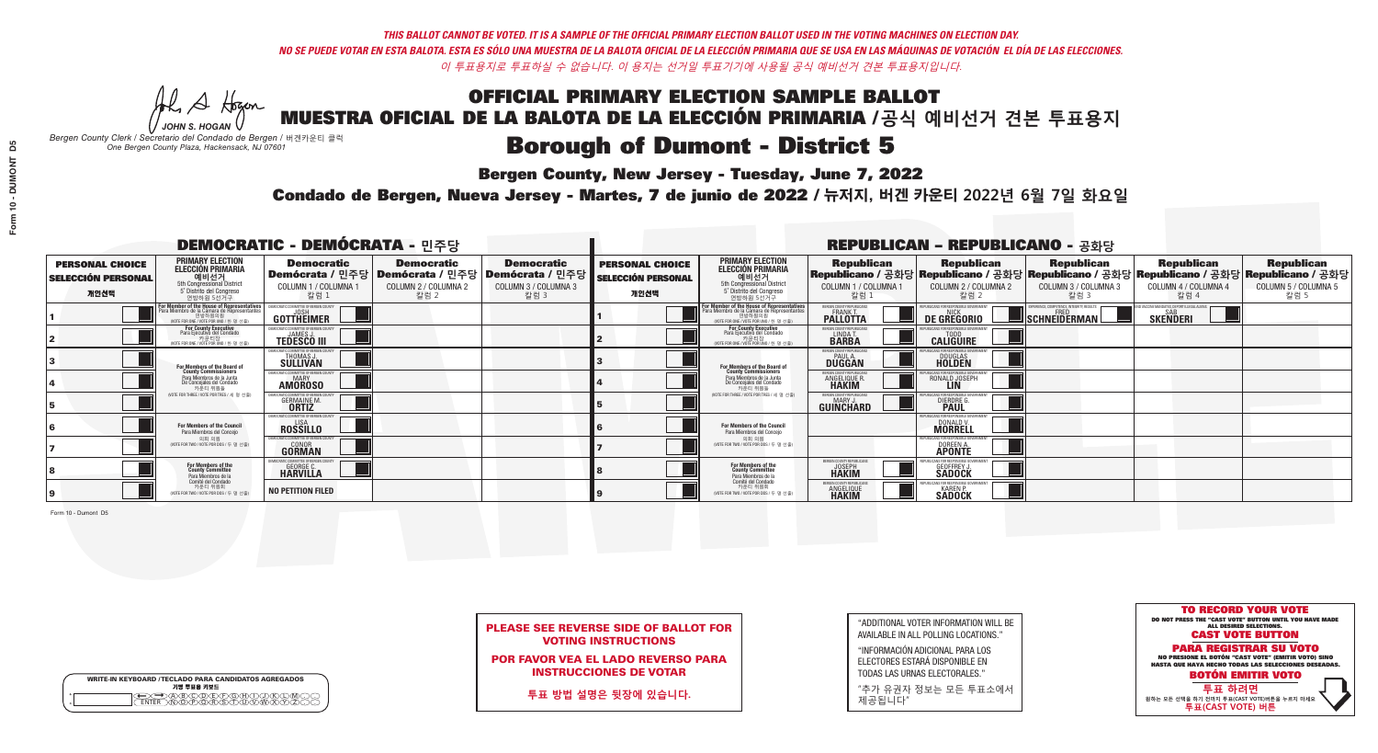**Bergen County, New Jersey - Tuesday, June 7, 2022** 

A Hogan *JOHN S. HOGAN*

|   | <b>WRITE-IN KEYBOARD /TECLADO PARA CANDIDATOS AGREGADOS</b><br>기명 투표용 키보드 |
|---|---------------------------------------------------------------------------|
| o | .)B)C)DE)F)G)H)                                                           |
| o | <u>እጅአል አል</u>                                                            |

*Bergen County Clerk / Secretario del Condado de Bergen /* 버겐카운티 클럭 *One Bergen County Plaza, Hackensack, NJ 07601*

Condado de Bergen, Nueva Jersey - Martes, 7 de junio de 2022 / 뉴저지, 버겐 카운티 2022년 6월 7일 화요일 *One Bergen County Plaza, Hackensack, NJ 07601*



PLEASE SEE REVERSE SIDE OF BALLOT FOR VOTING INSTRUCTIONS

POR FAVOR VEA EL LADO REVERSO PARA INSTRUCCIONES DE VOTAR

**투표 방법 설명은 뒷장에 있습니다.**

"ADDITIONAL VOTER INFORMATION WILL BE AVAILABLE IN ALL POLLING LOCATIONS."

"INFORMACIÓN ADICIONAL PARA LOS ELECTORES ESTARÁ DISPONIBLE EN TODAS LAS URNAS ELECTORALES."

"추가 유권자 정보는 모든 투표소에서 제공됩니다"

|                                                             |                                                                                                                                              | <b>DEMOCRATIC - DEMÓCRATA - 민주당</b>                                         |                                                                                       |                                                                          |                                                             |                                                                                                                                              |                                                                | <b>REPUBLICAN - REPUBLICANO - 공화당</b>                                                                                                          |                                                   |                                                               |                                                   |
|-------------------------------------------------------------|----------------------------------------------------------------------------------------------------------------------------------------------|-----------------------------------------------------------------------------|---------------------------------------------------------------------------------------|--------------------------------------------------------------------------|-------------------------------------------------------------|----------------------------------------------------------------------------------------------------------------------------------------------|----------------------------------------------------------------|------------------------------------------------------------------------------------------------------------------------------------------------|---------------------------------------------------|---------------------------------------------------------------|---------------------------------------------------|
| <b>PERSONAL CHOICE</b><br><b>SELECCIÓN PERSONAL</b><br>개인선택 | <b>PRIMARY ELECTION</b><br><b>ELECCIÓN PRIMARIA</b><br>예비선거<br>5th Congressional District<br>5° Distrito del Congreso<br>연방하원 5선거구           | <b>Democratic</b><br>COLUMN 1 / COLUMNA 1<br>칼럼 1                           | <b>Democratic</b><br>│Demócrata / 민주당│Demócrata / 민주당<br>COLUMN 2 / COLUMNA 2<br>칼럼 2 | <b>Democratic</b><br>ㆍ Demócrata / 민주당 ┃<br>COLUMN 3 / COLUMNA 3<br>칼럼 3 | <b>PERSONAL CHOICE</b><br><b>SELECCIÓN PERSONAL</b><br>개인선택 | <b>PRIMARY ELECTION</b><br><b>ELECCIÓN PRIMARIA</b><br>예비선거<br>5th Congressional District<br>5° Distrito del Congreso<br>연방하원 5선거구           | <b>Republican</b><br>COLUMN 1 / COLUMNA 1<br>칼럼 1              | <b>Republican</b><br>Republicano / 공화당 Republicano / 공화당 Republicano / 공화당 Republicano / 공화당 Republicano / 공화당<br>COLUMN 2 / COLUMNA 2<br>칼럼 2 | <b>Republican</b><br>COLUMN 3 / COLUMNA 3<br>칼럼 3 | <b>Republican</b><br>COLUMN 4 / COLUMNA 4<br>칼럼 4             | <b>Republican</b><br>COLUMN 5 / COLUMNA 5<br>칼럼 5 |
|                                                             | For Member of the House of Representatives<br>Para Miembro de la Cámara de Representantes<br>연방하원의원<br>(VOTE FOR ONE / VOTE POR UNO / 한 명 선출 | DEMOCRATIC COMMITTEE OF BERGEN COUNTY<br>JOSH<br>GOTTHEIMER                 |                                                                                       |                                                                          |                                                             | For Member of the House of Representatives<br>Para Miembro de la Cámara de Representantes<br>연방하원의원<br>(VOTE FOR ONE / VOTE POR UNO / 한 명 선출 | BERGEN COUNTY REPUBLICANS<br>FRANK T.<br><b>PALLOTTA</b>       | DE GREGORIO                                                                                                                                    | SCHNEIDERMAN                                      | ) VACCINE MANDATES, DEPORT ILLEGAL ALIENS.<br><b>SKENDERI</b> |                                                   |
|                                                             | <b>For County Executive</b><br>Para Ejecutivo del Condado<br>. 카운티장<br>(VOTE FOR ONE / VOTE POR UNO / 한 명 선출)                                | EMOCRATIC COMMITTEE OF BERGEN COUNTY<br><b>TEDESCO III</b>                  |                                                                                       |                                                                          |                                                             | <b>For County Executive</b><br>Para Ejecutivo del Condado<br>카운티장<br>(VOTE FOR ONE / VOTE POR UNO / 한 명 선출)                                  | BERGEN COUNTY REPUBLICAN<br>LINDA T.                           | <b>CALIGUIRE</b>                                                                                                                               |                                                   |                                                               |                                                   |
|                                                             | For Members of the Board of<br>County Commissioners                                                                                          | MOCRATIC COMMITTEE OF BERGEN COUNTY<br>THOMAS J.<br><b>SULLIVAN</b>         |                                                                                       |                                                                          |                                                             | For Members of the Board of<br>County Commissioners                                                                                          | ERGEN COUNTY REPUBLICAN<br><b>PAUL A.</b><br><b>DUGGAN</b>     | <b>DOUGLAS</b>                                                                                                                                 |                                                   |                                                               |                                                   |
|                                                             | Para Miembros de la Junta<br>De Concejales del Condado<br>카우티 위원들                                                                            | MOCRATIC COMMITTEE OF BERGEN COUNTY<br><b>MARY</b><br><b>AMOROSO</b>        |                                                                                       |                                                                          |                                                             | Para Miembros de la Junta<br>De Concejales del Condado<br>카운티 위원들                                                                            | ERGEN COUNTY REPUBLICAN:<br><b>ANGELIQUE R</b><br><b>HAKIM</b> | RONALD JOSEPH                                                                                                                                  |                                                   |                                                               |                                                   |
|                                                             | NOTE FOR THREE / VOTE POR TRES / 세 명 선출)                                                                                                     | CRATIC COMMITTEE OF BERGEN COU<br><b>GERMAINE M.</b>                        |                                                                                       |                                                                          |                                                             | NOTE FOR THREE / VOTE POR TRES / 세 명 선출                                                                                                      | ERGEN COUNTY REPUBLICANS<br>MARY J.<br>GUIÑĈHARD               | DIERDRE G                                                                                                                                      |                                                   |                                                               |                                                   |
|                                                             | For Members of the Council<br>Para Miembros del Conceio                                                                                      | MOCRATIC COMMITTEE OF BEBGEN CO<br><b>ROSSILLO</b>                          |                                                                                       |                                                                          |                                                             | For Members of the Council<br>Para Miembros del Conceio                                                                                      |                                                                | ANS FOR RESPONSIBLE GI<br>DONALD V                                                                                                             |                                                   |                                                               |                                                   |
|                                                             | 의회 의원<br>(VOTE FOR TWO / VOTE POR DOS / 두 명 선출)                                                                                              | <b>EMOCRATIC COMMITTEE OF BERGEN COUNT</b><br><b>GONOR</b><br><b>GORMAN</b> |                                                                                       |                                                                          |                                                             | 의회 의원<br>(VOTE FOR TWO / VOTE POR DOS / 두 명 선출)                                                                                              |                                                                | PUBLICANS FOR RESPONSIBLE GOVER:<br>DOREEN A.                                                                                                  |                                                   |                                                               |                                                   |
|                                                             | For Members of the<br>County Committee<br>Para Miembros de la<br>Comité del Condado                                                          | IOCRATIC COMMITTEE OF BERGEN<br><b>GEORGE C.</b><br><b>HARVILLA</b>         |                                                                                       |                                                                          |                                                             | For Members of the<br>County Committee<br>Para Miembros de la<br>Comité del Condado                                                          | ERGEN COUNTY REPUBLICAN<br><b>HAKIM</b>                        | <b>GEOFFREY J.</b><br><b>SADOCK</b>                                                                                                            |                                                   |                                                               |                                                   |
|                                                             | 카운티 위원회<br>(VOTE FOR TWO / VOTE POR DOS / 두 명 선출)                                                                                            | <b>NO PETITION FILED</b>                                                    |                                                                                       |                                                                          |                                                             | 카운티 위원회<br>VOTE FOR TWO / VOTE POR DOS / 두 명 선출                                                                                              | ERGEN COUNTY REPUBLICA<br><b>ANGELIQUE</b><br><b>HAKIM</b>     | <b>SADOCK</b>                                                                                                                                  |                                                   |                                                               |                                                   |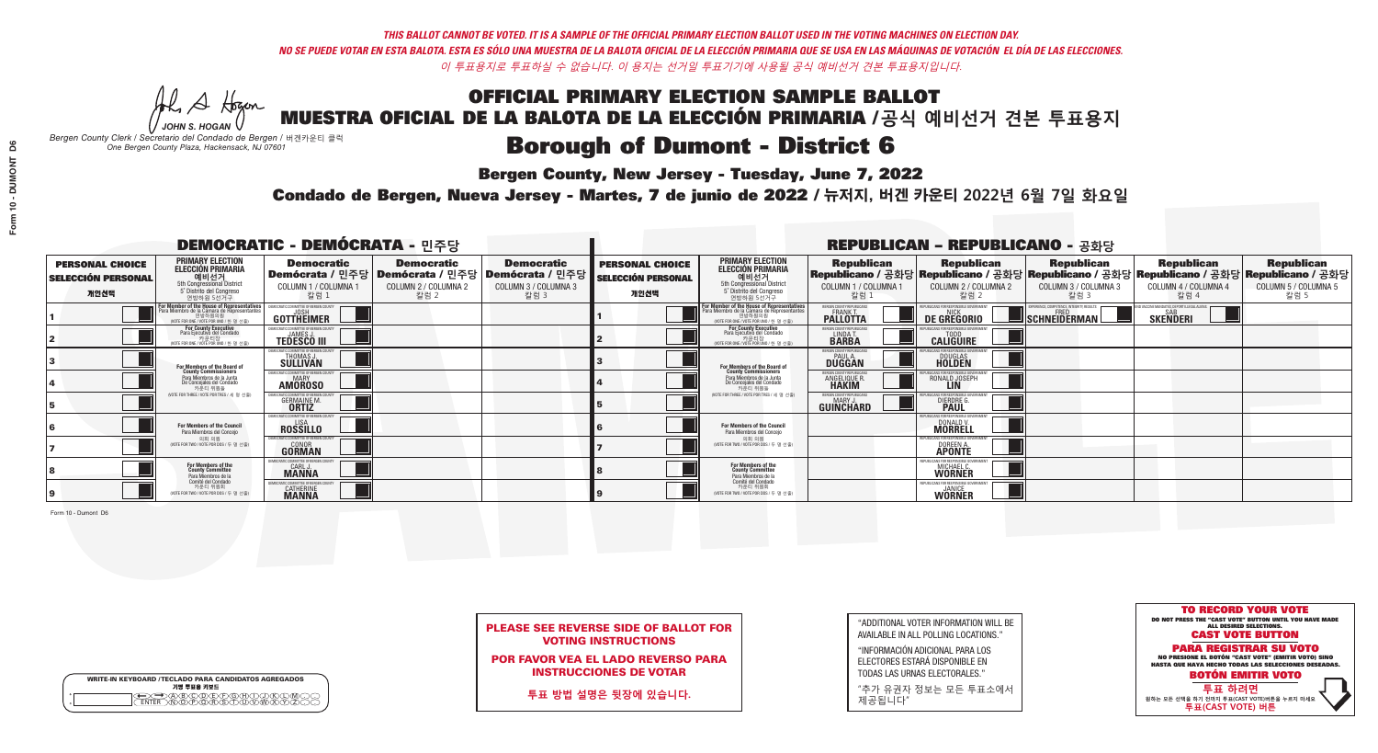**Bergen County, New Jersey - Tuesday, June 7, 2022** 

A Hogen *JOHN S. HOGAN*

|         | <b>WRITE-IN KEYBOARD /TECLADO PARA CANDIDATOS AGREGADOS</b><br>기명 투표용 키보드 |
|---------|---------------------------------------------------------------------------|
| ٥       | .)(B)C)(D)(E)(F)(G)(H)(                                                   |
| $\circ$ | <u>፝ዀፙቑ፝፠ዾ</u>                                                            |

*Bergen County Clerk / Secretario del Condado de Bergen /* 버겐카운티 클럭 *One Bergen County Plaza, Hackensack, NJ 07601*



PLEASE SEE REVERSE SIDE OF BALLOT FOR VOTING INSTRUCTIONS

POR FAVOR VEA EL LADO REVERSO PARA INSTRUCCIONES DE VOTAR

**투표 방법 설명은 뒷장에 있습니다.**

"ADDITIONAL VOTER INFORMATION WILL BE AVAILABLE IN ALL POLLING LOCATIONS."

"INFORMACIÓN ADICIONAL PARA LOS ELECTORES ESTARÁ DISPONIBLE EN TODAS LAS URNAS ELECTORALES."

"추가 유권자 정보는 모든 투표소에서 제공됩니다"

Condado de Bergen, Nueva Jersey - Martes, 7 de junio de 2022 / 뉴저지, 버겐 카운티 2022년 6월 7일 화요일 *One Bergen County Plaza, Hackensack, NJ 07601*

|                                                             |                                                                                                                                             | <b>DEMOCRATIC - DEMÓCRATA - 민주당</b>                                 |                                                   |                                                                                                        |                                                             |                                                                                                                                               |                                                               | <b>REPUBLICAN - REPUBLICANO - 공화당</b>                                                                                                          |                                                          |                                                            |                                                   |
|-------------------------------------------------------------|---------------------------------------------------------------------------------------------------------------------------------------------|---------------------------------------------------------------------|---------------------------------------------------|--------------------------------------------------------------------------------------------------------|-------------------------------------------------------------|-----------------------------------------------------------------------------------------------------------------------------------------------|---------------------------------------------------------------|------------------------------------------------------------------------------------------------------------------------------------------------|----------------------------------------------------------|------------------------------------------------------------|---------------------------------------------------|
| <b>PERSONAL CHOICE</b><br><b>SELECCIÓN PERSONAL</b><br>개인선택 | <b>PRIMARY ELECTION</b><br><b>ELECCIÓN PRIMARIA</b><br>예비선거<br>5th Congressional District<br>5° Distrito del Congreso<br>연방하원 5선거구          | <b>Democratic</b><br>COLUMN 1 / COLUMNA 1<br>칼럼 :                   | <b>Democratic</b><br>COLUMN 2 / COLUMNA 2<br>칼럼 2 | <b>Democratic</b><br>│Demócrata / 민주당│Demócrata / 민주당│Demócrata / 민주당┃<br>COLUMN 3 / COLUMNA 3<br>칼럼 3 | <b>PERSONAL CHOICE</b><br><b>SELECCIÓN PERSONAL</b><br>개인선택 | <b>PRIMARY ELECTION</b><br>ELECCIÓN PRIMARIA<br>예비선거<br>5th Congressional District<br>5° Distrito del Congreso<br>연방하원 5선거구                   | <b>Republican</b><br>COLUMN 1 / COLUMNA 1<br>칼럼               | <b>Republican</b><br>Republicano / 공화당 Republicano / 공화당 Republicano / 공화당 Republicano / 공화당 Republicano / 공화당<br>COLUMN 2 / COLUMNA 2<br>칼럼 2 | <b>Republican</b><br>COLUMN 3 / COLUMNA 3<br>칼럼 3        | <b>Republican</b><br>COLUMN 4 / COLUMNA 4<br>칼럼 4          | <b>Republican</b><br>COLUMN 5 / COLUMNA 5<br>칼럼 5 |
|                                                             | or Member of the House of Representatives<br>ara Miembro de la Cámara de Representantes<br>연방하원의원<br>(VOTE FOR ONE / VOTE POR UNO / 한 명 선출) | GOTTHEIMER                                                          |                                                   |                                                                                                        |                                                             | For Member of the House of Representatives<br>Para Miembro de la Cámara de Representantes<br>연방하원의원<br>(WOTE FOR ONE / VOTE POR UNO / 한 명 선출) | BERGEN COUNTY REPUBLICAN<br>FRANK T.<br><b>PALLOTTA</b>       | DE GREGORIO                                                                                                                                    | PERIENCE. COMPETENCE. INTEGRITY. RESULTS<br>SCHNEIDERMAN | VACCINE MANDATES, DEPORT ILLEGAL ALIENS<br><b>SKENDERI</b> |                                                   |
|                                                             | <b>For County Executive</b><br>Para Ejecutivo del Condado<br>가운티장<br>(VOTE FOR ONE / VOTE POR UNO / 한 명 선출)                                 | DEMOCRATIC COMMITTEE OF BERGEN COUNTY<br><b>TEDESCO III</b>         |                                                   |                                                                                                        |                                                             | For County Executive<br>Para Ejecutivo del Condado<br>7) 카운티장<br>(VOTE FOR ONE / VOTE POR UNO / 한 명 선출)                                       | BERGEN COUNTY REPUBLICAN<br>LINDA T.                          | <b>CALIGUIRE</b>                                                                                                                               |                                                          |                                                            |                                                   |
|                                                             | <b>For Members of the Board of<br/>County Commissioners</b>                                                                                 | <b><i>MOCRATIC COMMITTEE OF BERGEN COUNTY</i></b><br>THOMAS J.      |                                                   |                                                                                                        |                                                             | For Members of the Board of<br>County Commissioners                                                                                           | ERGEN COUNTY REPUBLICAN<br><b>PAUL A.</b><br><b>DUGGAN</b>    | <b>DOUGLAS</b>                                                                                                                                 |                                                          |                                                            |                                                   |
|                                                             | Para Miembros de la Junta<br>De Concejales del Condado<br>카우티 위원들                                                                           | RATIC COMMITTEE OF BERGEN COUNTY:<br><b>MARY</b><br><b>AMOROSO</b>  |                                                   |                                                                                                        |                                                             | Para Miembros de la Junta<br>De Concejales del Condado<br>카운티 위원들                                                                             | FRGEN COUNTY REPUBLICAN<br><b>ANGELIQUE F</b><br><b>HAKIM</b> | RONALD JOSEPH                                                                                                                                  |                                                          |                                                            |                                                   |
|                                                             | NOTE FOR THREE / VOTE POR TRES / 세 명 선출)                                                                                                    | AATIC COMMITTEE OF BERGEN CI<br><b>GERMAINE M.</b>                  |                                                   |                                                                                                        |                                                             | (VOTE FOR THREE / VOTE POR TRES / 세 명 선출)                                                                                                     | ERGEN COUNTY REPUBLICANS<br>MARY J<br>GUINCHARD               | FOR RESPONSIBLE G<br>DIERDRE G                                                                                                                 |                                                          |                                                            |                                                   |
|                                                             | For Members of the Council<br>Para Miembros del Conceio                                                                                     | EMOCRATIC COMMITTEE OF BERGEN CI<br><b>ROSSILLO</b>                 |                                                   |                                                                                                        |                                                             | For Members of the Council<br>Para Miembros del Conceio                                                                                       |                                                               | UBI ICANS FOR RESPONSIBI E G<br>DONALD V.                                                                                                      |                                                          |                                                            |                                                   |
|                                                             | 의회 의원<br>(VOTE FOR TWO / VOTE POR DOS / 두 명 선출)                                                                                             | MOCRATIC COMMITTEE OF BERGEN COUNT<br><b>GONOR</b><br><b>GORMAN</b> |                                                   |                                                                                                        |                                                             | 의회 의원<br>NOTE FOR TWO / VOTE POR DOS / 두 명 선출)                                                                                                |                                                               | PUBLICANS FOR RESPONSIBLE G(<br>DOREEN A.                                                                                                      |                                                          |                                                            |                                                   |
|                                                             | For Members of the<br>County Committee<br>Para Miembros de la                                                                               | CRATIC COMMITTEE OF BERGEN C<br><b>CARL J.</b><br><b>MANNA</b>      |                                                   |                                                                                                        |                                                             | For Members of the<br>County Committee<br>Para Miembros de la<br>Comité del Condado                                                           |                                                               | MICHAEL C.<br><b>WORNER</b>                                                                                                                    |                                                          |                                                            |                                                   |
|                                                             | Comité del Condado<br>카운티 위원회<br>(VOTE FOR TWO / VOTE POR DOS / 두 명 선출)                                                                     | <b><i>AOCRATIC COMMITTEE OF BERGEN</i></b><br><b>CATHERINE</b>      |                                                   |                                                                                                        |                                                             | 카운티 위원회<br>NOTE FOR TWO / VOTE POR DOS / 두 명 선출)                                                                                              |                                                               | EPUBLICANS FOR RESPONSIBLE G<br><b>WORNER</b>                                                                                                  |                                                          |                                                            |                                                   |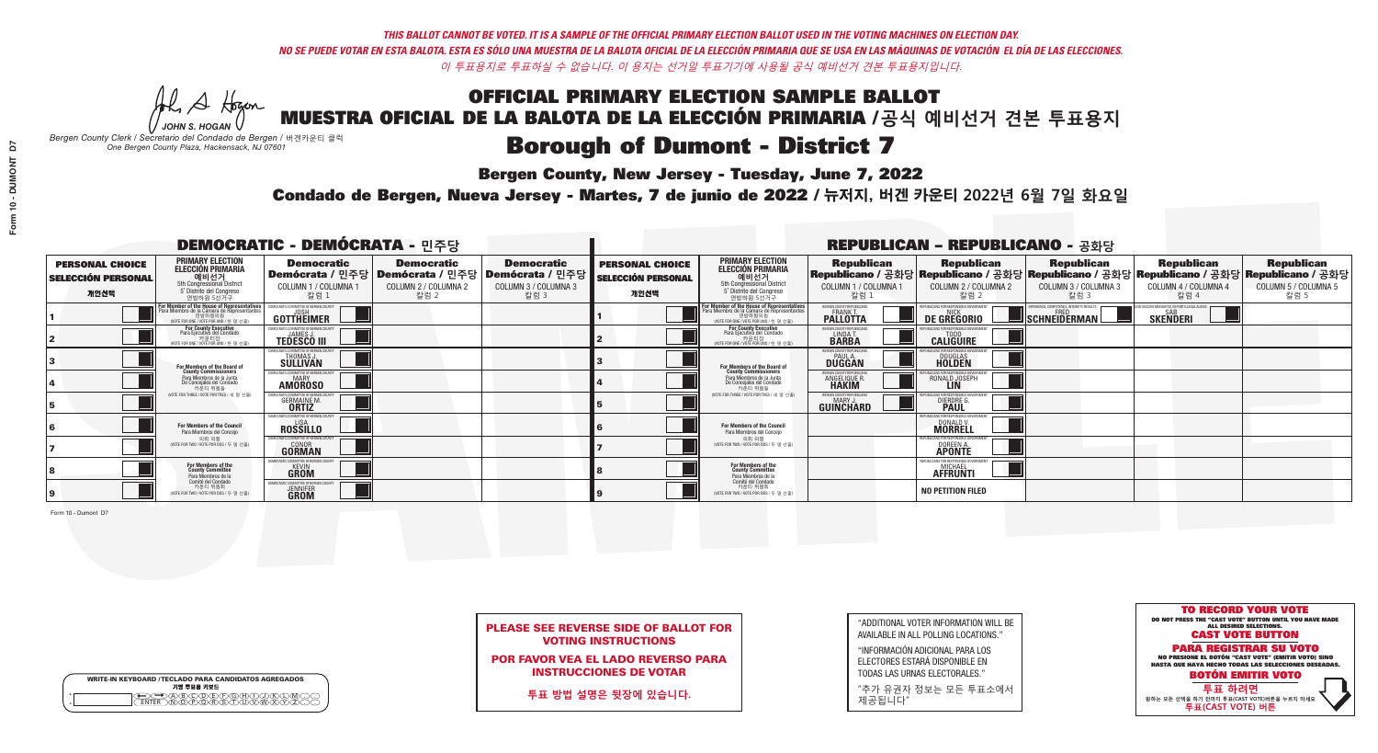**Bergen County, New Jersey - Tuesday, June 7, 2022** 

A Hogen *JOHN S. HOGAN*

|         | <b>WRITE-IN KEYBOARD /TECLADO PARA CANDIDATOS AGREGADOS</b><br>기명 투표용 키보드 |
|---------|---------------------------------------------------------------------------|
| ٥       | .)(B)C)(D)(E)(F)(G)(H)(                                                   |
| $\circ$ | <u>፝ዀፙቑ፝፠ዾ</u>                                                            |

*Bergen County Clerk / Secretario del Condado de Bergen /* 버겐카운티 클럭 *One Bergen County Plaza, Hackensack, NJ 07601*



PLEASE SEE REVERSE SIDE OF BALLOT FOR VOTING INSTRUCTIONS

POR FAVOR VEA EL LADO REVERSO PARA INSTRUCCIONES DE VOTAR

**투표 방법 설명은 뒷장에 있습니다.**

"ADDITIONAL VOTER INFORMATION WILL BE AVAILABLE IN ALL POLLING LOCATIONS."

"INFORMACIÓN ADICIONAL PARA LOS ELECTORES ESTARÁ DISPONIBLE EN TODAS LAS URNAS ELECTORALES."

"추가 유권자 정보는 모든 투표소에서 제공됩니다"

Condado de Bergen, Nueva Jersey - Martes, 7 de junio de 2022 / 뉴저지, 버겐 카운티 2022년 6월 7일 화요일 *One Bergen County Plaza, Hackensack, NJ 07601*

|                                                             |                                                                                                                                                                 | <b>DEMOCRATIC - DEMÓCRATA - 민주당</b>                                                                    |                                                   |                                                   |                                                             |                                                                                                                                             |                                                                      | <b>REPUBLICAN - REPUBLICANO - 공화당</b>                                                                                                          |                                                                        |                                                           |                                                   |
|-------------------------------------------------------------|-----------------------------------------------------------------------------------------------------------------------------------------------------------------|--------------------------------------------------------------------------------------------------------|---------------------------------------------------|---------------------------------------------------|-------------------------------------------------------------|---------------------------------------------------------------------------------------------------------------------------------------------|----------------------------------------------------------------------|------------------------------------------------------------------------------------------------------------------------------------------------|------------------------------------------------------------------------|-----------------------------------------------------------|---------------------------------------------------|
| <b>PERSONAL CHOICE</b><br><b>SELECCIÓN PERSONAL</b><br>개인선택 | <b>PRIMARY ELECTION</b><br><b>ELECCIÓN PRIMARIA</b><br>예비선거<br>5th Congressional District<br>5° Distrito del Congreso<br>연방하원 5선거구                              | <b>Democratic</b><br>│Demócrata / 민주당│Demócrata / 민주당│Demócrata / 민주당┃<br>COLUMN 1 / COLUMNA 1<br>칼럼 1 | <b>Democratic</b><br>COLUMN 2 / COLUMNA 2<br>칼럼 2 | <b>Democratic</b><br>COLUMN 3 / COLUMNA 3<br>칼럼 3 | <b>PERSONAL CHOICE</b><br><b>SELECCIÓN PERSONAL</b><br>개인선택 | <b>PRIMARY ELECTION</b><br>ELECCIÓN PRIMARIA<br>5th Congressional District<br>5° Distrito del Congreso<br>연방하원 5선거구                         | <b>Republican</b><br>COLUMN 1 / COLUMNA 1<br>칼럼                      | <b>Republican</b><br>Republicano / 공화당 Republicano / 공화당 Republicano / 공화당 Republicano / 공화당 Republicano / 공화당<br>COLUMN 2 / COLUMNA 2<br>칼럼 2 | <b>Republican</b><br>COLUMN 3 / COLUMNA 3<br>칼럼 3                      | <b>Republican</b><br>COLUMN 4 / COLUMNA 4<br>칼럼 4         | <b>Republican</b><br>COLUMN 5 / COLUMNA 5<br>칼럼 5 |
|                                                             | F <b>or Member of the House of Representatives</b><br>Para Miembro de la Cámara de Representantes<br>현방하원의원<br>연방하원의원<br>(WOTE FOR ONE / VOTE POR UNO / 한 명 선출) | <b>GOTTHEIMER</b>                                                                                      |                                                   |                                                   |                                                             | For Member of the House of Representatives<br>Para Miembro de la Cámara de Representantes<br>연방하원의원<br>(VOTE FOR ONE / VOTE POR UNO / 한명선출) | ERGEN COUNTY REPUBLICAN<br><b>PALLOTTA</b>                           | DE GREGORIO                                                                                                                                    | PERIENCE, COMPETENCE, INTEGRITY, RESULT<br>$\blacksquare$ Schneiderman | /ACCINE MANDATES, DEPORT ILLEGAL ALIEN<br><b>SKENDERI</b> |                                                   |
|                                                             | For County Executive<br>Para Ejecutivo del Condado<br>가운티장<br>(VOTE FOR ONE / VOTE POR UNO / 한 명 선출)                                                            | <b>TEDESCO III</b>                                                                                     |                                                   |                                                   |                                                             | For County Executive<br>Para Ejecutivo del Condado<br>가운티장<br>(VOTE FOR ONE / VOTE POR UNO / 한 명 선출                                         | BERGEN COUNTY REPUBLICAN<br>LINDA T.                                 | <b>CALIGUIRE</b>                                                                                                                               |                                                                        |                                                           |                                                   |
|                                                             | <b>For Members of the Board of<br/>County Commissioners</b>                                                                                                     | MOCRATIC COMMITTEE OF BERGEN COUNT<br>THOMAS J.                                                        |                                                   |                                                   |                                                             | For Members of the Board of<br>County Commissioners                                                                                         | ERGEN COUNTY REPUBLICAN<br><b>PAUL A.</b><br><b>DUGGAN</b>           | <b>DOUGLAS</b>                                                                                                                                 |                                                                        |                                                           |                                                   |
|                                                             | Para Miembros de la Junta<br>De Concejales del Condado<br>카우티 위원들                                                                                               | MOCRATIC COMMITTEE OF BERGEN COUNTY<br><b>MARY</b><br><b>AMOROSO</b>                                   |                                                   |                                                   |                                                             | Para Miembros de la Junta<br>De Concejales del Condado<br>카우티 위원들                                                                           | <b>FRGEN COUNTY REPUBLICAN</b><br><b>ANGELIQUE F</b><br><b>HAKIM</b> | RONALD JOSEPH                                                                                                                                  |                                                                        |                                                           |                                                   |
|                                                             | NOTE FOR THREE / VOTE POR TRES / 세 명 선출)                                                                                                                        | <b>GERMAINE M.</b>                                                                                     |                                                   |                                                   |                                                             | NOTE FOR THREE / VOTE POR TRES / 세 명 선출)                                                                                                    | ERGEN COUNTY REPUBLICANS<br>MARY J<br>GUINCHARD                      | <b>DIERDRE</b> G                                                                                                                               |                                                                        |                                                           |                                                   |
|                                                             | <b>For Members of the Council</b><br>Para Miembros del Conceio                                                                                                  | EMOCRATIC COMMITTEE OF BERGEN COUNTY<br><b>ROSSILLO</b>                                                |                                                   |                                                   |                                                             | <b>For Members of the Council</b><br>Para Miembros del Conceio                                                                              |                                                                      | UBLICANS FOR RESPONSIBLE GO<br>DONALD V.                                                                                                       |                                                                        |                                                           |                                                   |
|                                                             | 의회 의원<br>(VOTE FOR TWO / VOTE POR DOS / 두 명 선출)                                                                                                                 | EMOCRATIC COMMITTEE OF BERGEN COUNTY<br><b>GONOR</b><br>GORMAN                                         |                                                   |                                                   |                                                             | 의회 의원<br>NOTE FOR TWO / VOTE POR DOS / 두 명 선출)                                                                                              |                                                                      | PUBLICANS FOR RESPONSIBLE G(<br>DOREEN A.<br><b>APONTE</b>                                                                                     |                                                                        |                                                           |                                                   |
|                                                             | <b>For Members of the<br/>County Committee</b><br>Para Miembros de la                                                                                           | RATIC COMMITTEE OF RERGEN I<br><b>GROM</b>                                                             |                                                   |                                                   |                                                             | For Members of the<br>County Committee<br>Para Miembros de la<br>Comité del Condado                                                         |                                                                      | FPLIRI ICANS FOR RESPONSIRI E G<br><b>AFFRUNTI</b>                                                                                             |                                                                        |                                                           |                                                   |
|                                                             | Comité del Condado<br>카운티 위원회<br>(VOTE FOR TWO / VOTE POR DOS / 두 명 선출)                                                                                         | CRATIC COMMITTEE OF BERGEN COUN<br><b>JENNIFER</b>                                                     |                                                   |                                                   |                                                             | 카운티 위원회<br>(VOTE FOR TWO / VOTE POR DOS / 두 명 선출)                                                                                           |                                                                      | <b>NO PETITION FILED</b>                                                                                                                       |                                                                        |                                                           |                                                   |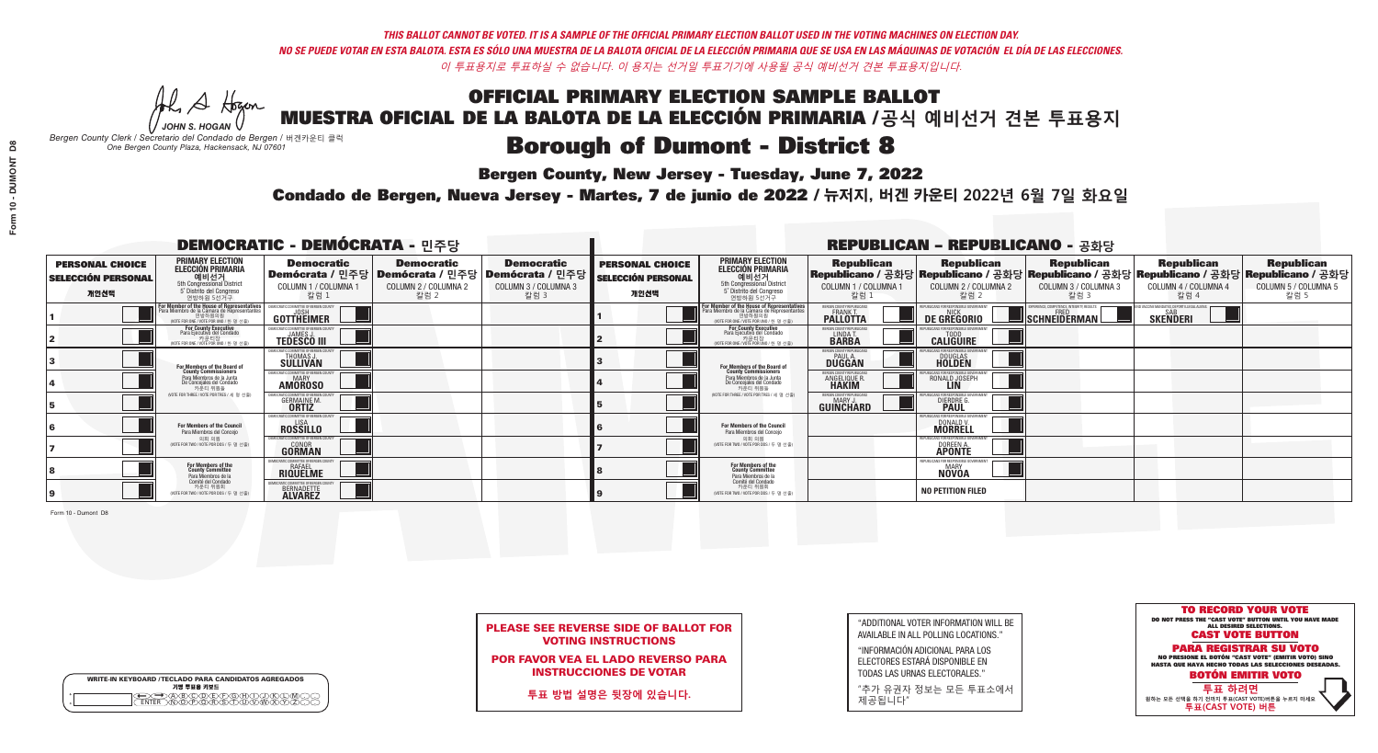**Bergen County, New Jersey - Tuesday, June 7, 2022** 

A Hogen *JOHN S. HOGAN*

|         | <b>WRITE-IN KEYBOARD /TECLADO PARA CANDIDATOS AGREGADOS</b><br>기명 투표용 키보드 |
|---------|---------------------------------------------------------------------------|
| ٥       | .)(B)C)(D)(E)(F)(G)(H)(                                                   |
| $\circ$ | <u>፝ዀፙቑ፝፠ዾ</u>                                                            |

*Bergen County Clerk / Secretario del Condado de Bergen /* 버겐카운티 클럭 *One Bergen County Plaza, Hackensack, NJ 07601*



PLEASE SEE REVERSE SIDE OF BALLOT FOR VOTING INSTRUCTIONS

POR FAVOR VEA EL LADO REVERSO PARA INSTRUCCIONES DE VOTAR

**투표 방법 설명은 뒷장에 있습니다.**

| "ADDITIONAL VOTER INFORMATION WILL BE |
|---------------------------------------|
| AVAILABLE IN ALL POLLING LOCATIONS."  |

"INFORMACIÓN ADICIONAL PARA LOS ELECTORES ESTARÁ DISPONIBLE EN TODAS LAS URNAS ELECTORALES."

"추가 유권자 정보는 모든 투표소에서 제공됩니다"

Condado de Bergen, Nueva Jersey - Martes, 7 de junio de 2022 / 뉴저지, 버겐 카운티 2022년 6월 7일 화요일 *One Bergen County Plaza, Hackensack, NJ 07601*

|                                                             |                                                                                                                                                                 | <b>DEMOCRATIC - DEMÓCRATA - 민주당</b>                                                                    |                                                   |                                                   |                                                             |                                                                                                                                             |                                                                      | <b>REPUBLICAN - REPUBLICANO - 공화당</b>                                                                                                          |                                                                        |                                                           |                                                   |
|-------------------------------------------------------------|-----------------------------------------------------------------------------------------------------------------------------------------------------------------|--------------------------------------------------------------------------------------------------------|---------------------------------------------------|---------------------------------------------------|-------------------------------------------------------------|---------------------------------------------------------------------------------------------------------------------------------------------|----------------------------------------------------------------------|------------------------------------------------------------------------------------------------------------------------------------------------|------------------------------------------------------------------------|-----------------------------------------------------------|---------------------------------------------------|
| <b>PERSONAL CHOICE</b><br><b>SELECCIÓN PERSONAL</b><br>개인선택 | <b>PRIMARY ELECTION</b><br><b>ELECCIÓN PRIMARIA</b><br>예비선거<br>5th Congressional District<br>5° Distrito del Congreso<br>연방하원 5선거구                              | <b>Democratic</b><br>│Demócrata / 민주당│Demócrata / 민주당│Demócrata / 민주당┃<br>COLUMN 1 / COLUMNA 1<br>칼럼 1 | <b>Democratic</b><br>COLUMN 2 / COLUMNA 2<br>칼럼 2 | <b>Democratic</b><br>COLUMN 3 / COLUMNA 3<br>칼럼 3 | <b>PERSONAL CHOICE</b><br><b>SELECCIÓN PERSONAL</b><br>개인선택 | <b>PRIMARY ELECTION</b><br>ELECCIÓN PRIMARIA<br>5th Congressional District<br>5° Distrito del Congreso<br>연방하원 5선거구                         | <b>Republican</b><br>COLUMN 1 / COLUMNA 1<br>칼럼                      | <b>Republican</b><br>Republicano / 공화당 Republicano / 공화당 Republicano / 공화당 Republicano / 공화당 Republicano / 공화당<br>COLUMN 2 / COLUMNA 2<br>칼럼 2 | <b>Republican</b><br>COLUMN 3 / COLUMNA 3<br>칼럼 3                      | <b>Republican</b><br>COLUMN 4 / COLUMNA 4<br>칼럼 4         | <b>Republican</b><br>COLUMN 5 / COLUMNA 5<br>칼럼 5 |
|                                                             | F <b>or Member of the House of Representatives</b><br>Para Miembro de la Cámara de Representantes<br>현방하원의원<br>연방하원의원<br>(WOTE FOR ONE / VOTE POR UNO / 한 명 선출) | <b>GOTTHEIMER</b>                                                                                      |                                                   |                                                   |                                                             | For Member of the House of Representatives<br>Para Miembro de la Cámara de Representantes<br>연방하원의원<br>(VOTE FOR ONE / VOTE POR UNO / 한명선출) | ERGEN COUNTY REPUBLICAN<br><b>PALLOTTA</b>                           | DE GREGORIO                                                                                                                                    | PERIENCE, COMPETENCE, INTEGRITY, RESULT<br>$\blacksquare$ Schneiderman | /ACCINE MANDATES, DEPORT ILLEGAL ALIEN<br><b>SKENDERI</b> |                                                   |
|                                                             | For County Executive<br>Para Ejecutivo del Condado<br>가운티장<br>(VOTE FOR ONE / VOTE POR UNO / 한 명 선출)                                                            | <b>TEDESCO III</b>                                                                                     |                                                   |                                                   |                                                             | For County Executive<br>Para Ejecutivo del Condado<br>가운티장<br>(VOTE FOR ONE / VOTE POR UNO / 한 명 선출                                         | BERGEN COUNTY REPUBLICAN<br>LINDA T.                                 | <b>CALIGUIRE</b>                                                                                                                               |                                                                        |                                                           |                                                   |
|                                                             | <b>For Members of the Board of<br/>County Commissioners</b>                                                                                                     | MOCRATIC COMMITTEE OF BERGEN COUNT<br>THOMAS J.                                                        |                                                   |                                                   |                                                             | For Members of the Board of<br>County Commissioners                                                                                         | ERGEN COUNTY REPUBLICAN<br><b>PAUL A.</b><br><b>DUGGAN</b>           | <b>DOUGLAS</b>                                                                                                                                 |                                                                        |                                                           |                                                   |
|                                                             | Para Miembros de la Junta<br>De Concejales del Condado<br>카우티 위원들                                                                                               | MOCRATIC COMMITTEE OF BERGEN COUNTY<br><b>MARY</b><br><b>AMOROSO</b>                                   |                                                   |                                                   |                                                             | Para Miembros de la Junta<br>De Concejales del Condado<br>카우티 위원들                                                                           | <b>FRGEN COUNTY REPUBLICAN</b><br><b>ANGELIQUE F</b><br><b>HAKIM</b> | RONALD JOSEPH                                                                                                                                  |                                                                        |                                                           |                                                   |
|                                                             | NOTE FOR THREE / VOTE POR TRES / 세 명 선출)                                                                                                                        | <b>GERMAINE M.</b>                                                                                     |                                                   |                                                   |                                                             | NOTE FOR THREE / VOTE POR TRES / 세 명 선출)                                                                                                    | ERGEN COUNTY REPUBLICANS<br>MARY J<br>GUINCHARD                      | <b>DIERDRE</b> G                                                                                                                               |                                                                        |                                                           |                                                   |
|                                                             | <b>For Members of the Council</b><br>Para Miembros del Conceio                                                                                                  | EMOCRATIC COMMITTEE OF BERGEN COUNTY<br><b>ROSSILLO</b>                                                |                                                   |                                                   |                                                             | <b>For Members of the Council</b><br>Para Miembros del Conceio                                                                              |                                                                      | UBLICANS FOR RESPONSIBLE GO<br>DONALD V.                                                                                                       |                                                                        |                                                           |                                                   |
|                                                             | 의회 의원<br>(VOTE FOR TWO / VOTE POR DOS / 두 명 선출)                                                                                                                 | EMOCRATIC COMMITTEE OF BERGEN COUNTY<br><b>GONOR</b><br>GORMAN                                         |                                                   |                                                   |                                                             | 의회 의원<br>NOTE FOR TWO / VOTE POR DOS / 두 명 선출)                                                                                              |                                                                      | PUBLICANS FOR RESPONSIBLE G(<br>DOREEN A.<br><b>APONTE</b>                                                                                     |                                                                        |                                                           |                                                   |
|                                                             | <b>For Members of the<br/>County Committee</b><br>Para Miembros de la                                                                                           | ICRATIC COMMITTEE OF RERGEN (<br><b>RAFAEL</b><br><b>RIQUELME</b>                                      |                                                   |                                                   |                                                             | For Members of the<br>County Committee<br>Para Miembros de la<br>Comité del Condado                                                         |                                                                      | IFPUBLICANS FOR RESPONSIBLE G<br>NOVOA                                                                                                         |                                                                        |                                                           |                                                   |
|                                                             | Comité del Condado<br>카운티 위원회<br>(VOTE FOR TWO / VOTE POR DOS / 두 명 선출)                                                                                         | CRATIC COMMITTEE OF RERGEN C<br>BERNADETTE                                                             |                                                   |                                                   |                                                             | 카운티 위원회<br>(VOTE FOR TWO / VOTE POR DOS / 두 명 선출)                                                                                           |                                                                      | <b>NO PETITION FILED</b>                                                                                                                       |                                                                        |                                                           |                                                   |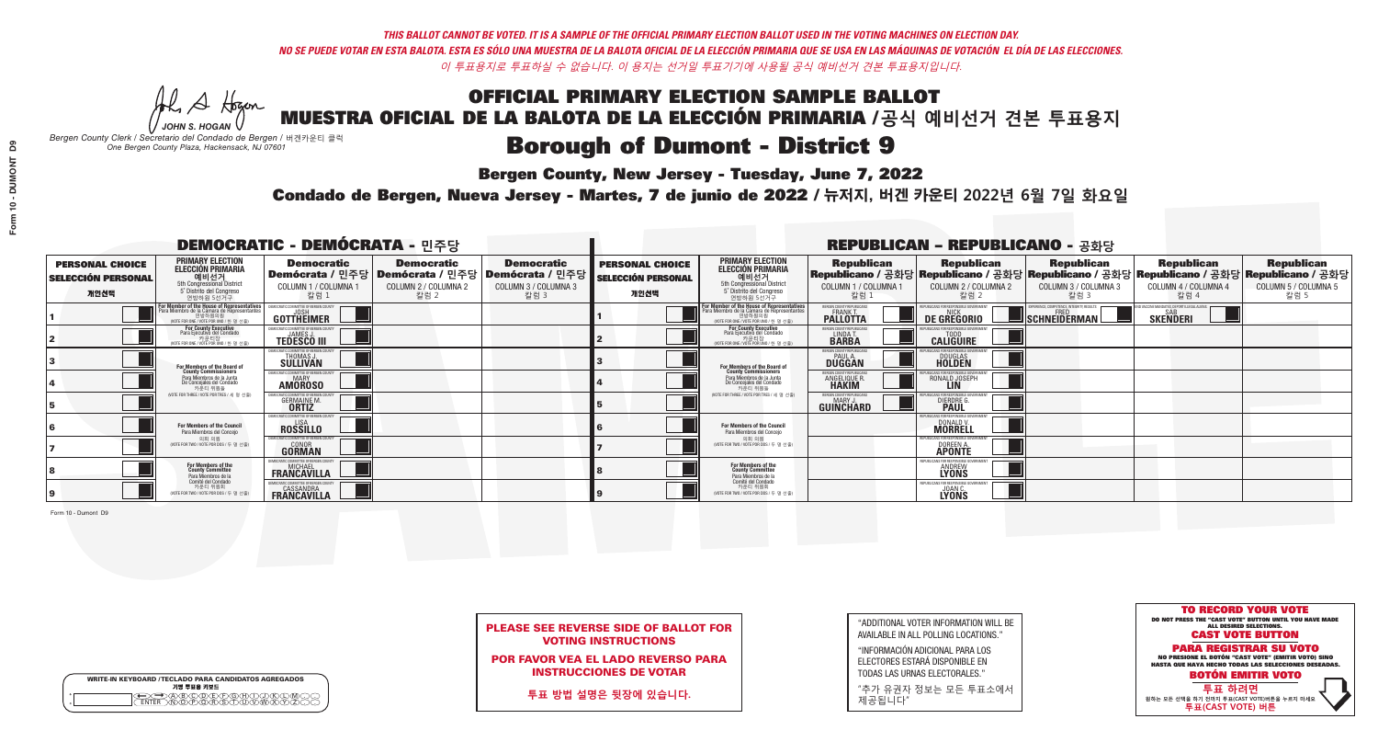**Bergen County, New Jersey - Tuesday, June 7, 2022** 

A Hogen *JOHN S. HOGAN*

| <b>WRITE-IN KEYBOARD /TECLADO PARA CANDIDATOS AGREGADOS</b><br>기명 투표용 키보드 |  |
|---------------------------------------------------------------------------|--|
| (A)B)C)D)E)(F)(G)(H)(T)(T)(<br>o<br>心面有心的<br>o                            |  |

*Bergen County Clerk / Secretario del Condado de Bergen /* 버겐카운티 클럭 *One Bergen County Plaza, Hackensack, NJ 07601*



PLEASE SEE REVERSE SIDE OF BALLOT FOR VOTING INSTRUCTIONS

POR FAVOR VEA EL LADO REVERSO PARA INSTRUCCIONES DE VOTAR

**투표 방법 설명은 뒷장에 있습니다.**

"ADDITIONAL VOTER INFORMATION WILL BE AVAILABLE IN ALL POLLING LOCATIONS."

"INFORMACIÓN ADICIONAL PARA LOS ELECTORES ESTARÁ DISPONIBLE EN TODAS LAS URNAS ELECTORALES."

"추가 유권자 정보는 모든 투표소에서 제공됩니다"

Condado de Bergen, Nueva Jersey - Martes, 7 de junio de 2022 / 뉴저지, 버겐 카운티 2022년 6월 7일 화요일 *One Bergen County Plaza, Hackensack, NJ 07601*

|                                                             |                                                                                                                                                  | <b>DEMOCRATIC - DEMÓCRATA - 민주당</b>                                 |                                                   |                                                                                                        |                                                             |                                                                                                                                                       |                                                               | <b>REPUBLICAN - REPUBLICANO - 공화당</b>                 |                                                                                                                                                |                                                            |                                                   |
|-------------------------------------------------------------|--------------------------------------------------------------------------------------------------------------------------------------------------|---------------------------------------------------------------------|---------------------------------------------------|--------------------------------------------------------------------------------------------------------|-------------------------------------------------------------|-------------------------------------------------------------------------------------------------------------------------------------------------------|---------------------------------------------------------------|-------------------------------------------------------|------------------------------------------------------------------------------------------------------------------------------------------------|------------------------------------------------------------|---------------------------------------------------|
| <b>PERSONAL CHOICE</b><br><b>SELECCIÓN PERSONAL</b><br>개인선택 | <b>PRIMARY ELECTION</b><br><b>ELECCIÓN PRIMARIA</b><br>예비선거<br><sup>6</sup> 예비선거<br>5° Distrito del Congreso<br>연방하원 5선거구                        | <b>Democratic</b><br>COLUMN 1 / COLUMNA<br>칼럼 :                     | <b>Democratic</b><br>COLUMN 2 / COLUMNA 2<br>칼럼 2 | <b>Democratic</b><br>│Demócrata / 민주당│Demócrata / 민주당│Demócrata / 민주당┃<br>COLUMN 3 / COLUMNA 3<br>칼럼 3 | <b>PERSONAL CHOICE</b><br><b>SELECCIÓN PERSONAL</b><br>개인선택 | <b>PRIMARY ELECTION</b><br>ELECCIÓN PRIMARIA<br>예비선거<br>5th Congressional District<br>5° Distrito del Congreso<br>연방하원 5선거구                           | <b>Republican</b><br>COLUMN 1 / COLUMNA 1<br>칼럼               | <b>Republican</b><br>COLUMN 2 / COLUMNA 2<br>칼럼 2     | <b>Republican</b><br>Republicano / 공화당 Republicano / 공화당 Republicano / 공화당 Republicano / 공화당 Republicano / 공화당<br>COLUMN 3 / COLUMNA 3<br>칼럼 3 | <b>Republican</b><br>COLUMN 4 / COLUMNA 4<br>칼럼 4          | <b>Republican</b><br>COLUMN 5 / COLUMNA 5<br>칼럼 5 |
|                                                             | <b>r Member of the House of Representatives</b><br>ra Miembro de la Cámara de Representantes<br>연방하원의원<br>(VOTE FOR ONE / VOTE POR UNO / 한 명 선출) | DEMOCRATIC COMMITTEE OF BERGEN CO<br>GOTTHEIMER                     |                                                   |                                                                                                        |                                                             | <b>For Member of the House of Representatives<br/>Para Miembro de la Cámara de Representantes</b><br>연방하원의원<br>(VOTE FOR ONE / VOTE POR UNO / 한 명 선출) | ERGEN COUNTY REPUBLICAN<br>FRANK T.<br><b>PALLOTTA</b>        | DE GREGORIO                                           | PERIENCE. COMPETENCE. INTEGRITY. RESULTS<br>$\blacksquare$ Schneiderman $\mathsf L$                                                            | VACCINE MANDATES, DEPORT ILLEGAL ALIENS<br><b>SKENDERI</b> |                                                   |
|                                                             | <b>For County Executive</b><br>Para Ejecutivo del Condado<br>7 카운티장<br>(VOTE FOR ONE / VOTE POR UNO / 한 명 선출)                                    | JEMOCRATIC COMMITTEE OF BERGEN COUNTY<br><b>TEDESCO III</b>         |                                                   |                                                                                                        |                                                             | For County Executive<br>Para Ejecutivo del Condado<br>7 카운티장<br>(VOTE FOR ONE / VOTE POR UNO / 한 명 선출                                                 | BERGEN COUNTY REPUBLICAN<br>LINDA T.                          | <b>CALIGUIRE</b>                                      |                                                                                                                                                |                                                            |                                                   |
|                                                             | <b>For Members of the Board of<br/>County Commissioners</b>                                                                                      | MOCRATIC COMMITTEE OF BERGEN COUNTY<br>THOMAS J.                    |                                                   |                                                                                                        |                                                             | For Members of the Board of<br>County Commissioners                                                                                                   | ERGEN COUNTY REPUBLICAN<br><b>DUGGAN</b>                      | <b>DOUGLAS</b><br><b>HOLDEN</b>                       |                                                                                                                                                |                                                            |                                                   |
|                                                             | Para Miembros de la Junta<br>De Concejales del Condado<br>카우티 위원들                                                                                | )CRATIC COMMITTEE OF BERGEN COUNTY<br><b>MARY</b><br><b>AMOROSO</b> |                                                   |                                                                                                        |                                                             | Para Miembros de la Junta<br>De Concejales del Condado<br>카우티 위원들                                                                                     | ERGEN COUNTY REPUBLICAN<br><b>ANGELIQUE F</b><br><b>HAKIM</b> | RONALD JOSEPH                                         |                                                                                                                                                |                                                            |                                                   |
|                                                             | NOTE FOR THREE / VOTE POR TRES / 세 명 선출)                                                                                                         | RATIC COMMITTEE OF BERGEN CO<br><b>GERMAINE M.</b>                  |                                                   |                                                                                                        |                                                             | (VOTE FOR THREE / VOTE POR TRES / 세 명 선출)                                                                                                             | ERGEN COUNTY REPUBLICANS<br>MARY J<br>GUINCHARD               | FOR RESPONSIBLE GO<br><b>DIERDRE</b> O                |                                                                                                                                                |                                                            |                                                   |
|                                                             | For Members of the Council<br>Para Miembros del Conceio                                                                                          | MOCRATIC COMMITTEE OF BERGEN COUN<br><b>ROSSILLO</b>                |                                                   |                                                                                                        |                                                             | For Members of the Council<br>Para Miembros del Conceio                                                                                               |                                                               | PUBLICANS FOR RESPONSIBLE G<br>DONALD V.              |                                                                                                                                                |                                                            |                                                   |
|                                                             | 의회 의원<br>NOTE FOR TWO / VOTE POR DOS / 두 명 선출)                                                                                                   | MOCRATIC COMMITTEE OF BERGEN COUNT<br><b>GONOR</b><br><b>GORMAN</b> |                                                   |                                                                                                        |                                                             | 의회 의원<br>NOTE FOR TWO / VOTE POR DOS / 두 명 선출)                                                                                                        |                                                               | PUBLICANS FOR RESPONSIBLE GO<br>DOREEN A.             |                                                                                                                                                |                                                            |                                                   |
|                                                             | For Members of the<br>County Committee<br>Para Miembros de la                                                                                    | <b>FRANCAVILLA</b>                                                  |                                                   |                                                                                                        |                                                             | For Members of the<br>County Committee<br>Para Miembros de la<br>Comité del Condado                                                                   |                                                               | <b>ANDREW</b><br>LYONS                                |                                                                                                                                                |                                                            |                                                   |
|                                                             | Comité del Condado<br>카운티 위원회<br>(VOTE FOR TWO / VOTE POR DOS / 두 명 선출)                                                                          | <b>EASSANDRA</b><br><b>FRANCAVILLA</b>                              |                                                   |                                                                                                        |                                                             | 카운티 위원회<br>NOTE FOR TWO / VOTE POR DOS / 두 명 선출)                                                                                                      |                                                               | EPUBLICANS FOR RESPONSIBLE<br><b>JOAN C.</b><br>LYONS |                                                                                                                                                |                                                            |                                                   |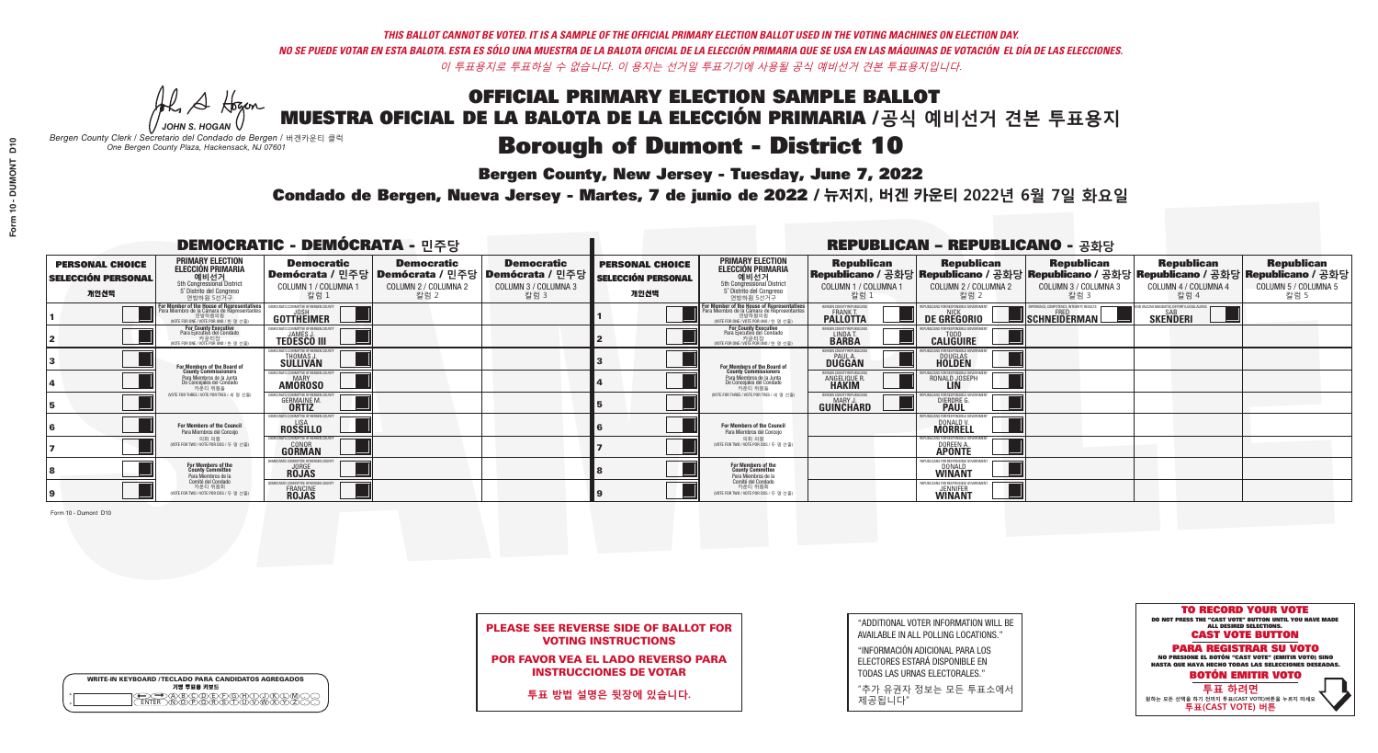**Bergen County, New Jersey - Tuesday, June 7, 2022** 

A Hogen *JOHN S. HOGAN*

|         | <b>WRITE-IN KEYBOARD /TECLADO PARA CANDIDATOS AGREGADOS</b><br>기명 투표용 키보드 |
|---------|---------------------------------------------------------------------------|
| ٥       | )(B)C)(D)(E)(F)(G)(H)(                                                    |
| $\circ$ | <u>፝ዀ፝</u> ፙዂጞቝ                                                           |

*Bergen County Clerk / Secretario del Condado de Bergen /* 버겐카운티 클럭 *One Bergen County Plaza, Hackensack, NJ 07601*



| <b>PLEASE SEE REVERSE SIDE OF BALLOT FOR</b> |                            |  |  |  |
|----------------------------------------------|----------------------------|--|--|--|
|                                              | <b>VOTING INSTRUCTIONS</b> |  |  |  |

POR FAVOR VEA EL LADO REVERSO PARA INSTRUCCIONES DE VOTAR

**투표 방법 설명은 뒷장에 있습니다.**

"ADDITIONAL VOTER INFORMATION WILL BE AVAILABLE IN ALL POLLING LOCATIONS."

"INFORMACIÓN ADICIONAL PARA LOS ELECTORES ESTARÁ DISPONIBLE EN TODAS LAS URNAS ELECTORALES."

"추가 유권자 정보는 모든 투표소에서 제공됩니다"

Condado de Bergen, Nueva Jersey - Martes, 7 de junio de 2022 / 뉴저지, 버겐 카운티 2022년 6월 7일 화요일 *One Bergen County Plaza, Hackensack, NJ 07601*

|                                                             |                                                                                                                                                  | <b>DEMOCRATIC - DEMÓCRATA - 민주당</b>                                         |                                                   |                                                                                                        |                                                             |                                                                                                                                                       |                                                               | <b>REPUBLICAN - REPUBLICANO - 공화당</b>             |                                                                                                                                                |                                                            |                                                   |
|-------------------------------------------------------------|--------------------------------------------------------------------------------------------------------------------------------------------------|-----------------------------------------------------------------------------|---------------------------------------------------|--------------------------------------------------------------------------------------------------------|-------------------------------------------------------------|-------------------------------------------------------------------------------------------------------------------------------------------------------|---------------------------------------------------------------|---------------------------------------------------|------------------------------------------------------------------------------------------------------------------------------------------------|------------------------------------------------------------|---------------------------------------------------|
| <b>PERSONAL CHOICE</b><br><b>SELECCIÓN PERSONAL</b><br>개인선택 | <b>PRIMARY ELECTION</b><br><b>ELECCIÓN PRIMARIA</b><br>예비선거<br><sup>6</sup> 예비선거<br>5° Distrito del Congreso<br>연방하원 5선거구                        | <b>Democratic</b><br>COLUMN 1 / COLUMNA<br>칼럼 :                             | <b>Democratic</b><br>COLUMN 2 / COLUMNA 2<br>칼럼 2 | <b>Democratic</b><br>│Demócrata / 민주당│Demócrata / 민주당│Demócrata / 민주당┃<br>COLUMN 3 / COLUMNA 3<br>칼럼 3 | <b>PERSONAL CHOICE</b><br><b>SELECCIÓN PERSONAL</b><br>개인선택 | <b>PRIMARY ELECTION</b><br>ELECCIÓN PRIMARIA<br>예비선거<br>5th Congressional District<br>5° Distrito del Congreso<br>연방하원 5선거구                           | <b>Republican</b><br>COLUMN 1 / COLUMNA 1<br>칼럼               | <b>Republican</b><br>COLUMN 2 / COLUMNA 2<br>칼럼 2 | <b>Republican</b><br>Republicano / 공화당 Republicano / 공화당 Republicano / 공화당 Republicano / 공화당 Republicano / 공화당<br>COLUMN 3 / COLUMNA 3<br>칼럼 3 | <b>Republican</b><br>COLUMN 4 / COLUMNA 4<br>칼럼 4          | <b>Republican</b><br>COLUMN 5 / COLUMNA 5<br>칼럼 5 |
|                                                             | <b>r Member of the House of Representatives</b><br>ra Miembro de la Cámara de Representantes<br>연방하원의원<br>(VOTE FOR ONE / VOTE POR UNO / 한 명 선출) | DEMOCRATIC COMMITTEE OF BERGEN CO<br>GOTTHEIMER                             |                                                   |                                                                                                        |                                                             | <b>For Member of the House of Representatives<br/>Para Miembro de la Cámara de Representantes</b><br>연방하원의원<br>(VOTE FOR ONE / VOTE POR UNO / 한 명 선출) | ERGEN COUNTY REPUBLICAN<br>FRANK T.<br><b>PALLOTTA</b>        | DE GREGORIO                                       | PERIENCE. COMPETENCE. INTEGRITY. RESULTS<br>$\blacksquare$ Schneiderman                                                                        | VACCINE MANDATES, DEPORT ILLEGAL ALIENS<br><b>SKENDERI</b> |                                                   |
|                                                             | <b>For County Executive</b><br>Para Ejecutivo del Condado<br>. 카운티장<br>(VOTE FOR ONE / VOTE POR UNO / 한 명 선출)                                    | JEMOCRATIC COMMITTEE OF BERGEN COUNTY<br><b>TEDESCO III</b>                 |                                                   |                                                                                                        |                                                             | For County Executive<br>Para Ejecutivo del Condado<br>7 카운티장<br>(VOTE FOR ONE / VOTE POR UNO / 한 명 선출                                                 | BERGEN COUNTY REPUBLICAN<br>LINDA T.                          | <b>CALIGUIRE</b>                                  |                                                                                                                                                |                                                            |                                                   |
|                                                             | <b>For Members of the Board of<br/>County Commissioners</b>                                                                                      | MOCRATIC COMMITTEE OF BERGEN COUNTY<br>THOMAS J.                            |                                                   |                                                                                                        |                                                             | For Members of the Board of<br>County Commissioners                                                                                                   | ERGEN COUNTY REPUBLICAN<br><b>DUGGAN</b>                      | <b>DOUGLAS</b><br><b>HOLDEN</b>                   |                                                                                                                                                |                                                            |                                                   |
|                                                             | Para Miembros de la Junta<br>De Concejales del Condado<br>카우티 위원들                                                                                | )CRATIC COMMITTEE OF BERGEN COUNTY<br><b>MARY</b><br><b>AMOROSO</b>         |                                                   |                                                                                                        |                                                             | Para Miembros de la Junta<br>De Concejales del Condado<br>카우티 위원들                                                                                     | ERGEN COUNTY REPUBLICAN<br><b>ANGELIQUE F</b><br><b>HAKIM</b> | RONALD JOSEPH                                     |                                                                                                                                                |                                                            |                                                   |
|                                                             | NOTE FOR THREE / VOTE POR TRES / 세 명 선출)                                                                                                         | RATIC COMMITTEE OF BERGEN CO<br><b>GERMAINE M.</b>                          |                                                   |                                                                                                        |                                                             | (VOTE FOR THREE / VOTE POR TRES / 세 명 선출)                                                                                                             | ERGEN COUNTY REPUBLICANS<br>MARY J<br>GUINCHARD               | FOR RESPONSIBLE GO<br><b>DIERDRE</b> O            |                                                                                                                                                |                                                            |                                                   |
|                                                             | For Members of the Council<br>Para Miembros del Conceio                                                                                          | MOCRATIC COMMITTEE OF BERGEN COUN<br><b>ROSSILLO</b>                        |                                                   |                                                                                                        |                                                             | For Members of the Council<br>Para Miembros del Conceio                                                                                               |                                                               | PUBLICANS FOR RESPONSIBLE G<br>DONALD V.          |                                                                                                                                                |                                                            |                                                   |
|                                                             | 의회 의원<br>NOTE FOR TWO / VOTE POR DOS / 두 명 선출)                                                                                                   | <b>EMOCRATIC COMMITTEE OF BERGEN COUNT</b><br><b>GONOR</b><br><b>GORMAN</b> |                                                   |                                                                                                        |                                                             | 의회 의원<br>NOTE FOR TWO / VOTE POR DOS / 두 명 선출)                                                                                                        |                                                               | PUBLICANS FOR RESPONSIBLE GO<br>DOREEN A.         |                                                                                                                                                |                                                            |                                                   |
|                                                             | For Members of the<br>County Committee<br>Para Miembros de la                                                                                    | ICRATIC COMMITTEE OF BERGEN C<br><b>JORGE</b><br><b>ROJAS</b>               |                                                   |                                                                                                        |                                                             | For Members of the<br>County Committee<br>Para Miembros de la<br>Comité del Condado                                                                   |                                                               | DONALD<br>WINANT                                  |                                                                                                                                                |                                                            |                                                   |
|                                                             | Comité del Condado<br>카운티 위원회<br>(VOTE FOR TWO / VOTE POR DOS / 두 명 선출)                                                                          | MOCRATIC COMMITTEE OF BERGEN<br>FRANCINE<br><b>ROJAS</b>                    |                                                   |                                                                                                        |                                                             | 카운티 위원회<br>NOTE FOR TWO / VOTE POR DOS / 두 명 선출)                                                                                                      |                                                               | EPUBLICANS FOR RESPONSIBLE G<br><b>JENNIFER</b>   |                                                                                                                                                |                                                            |                                                   |